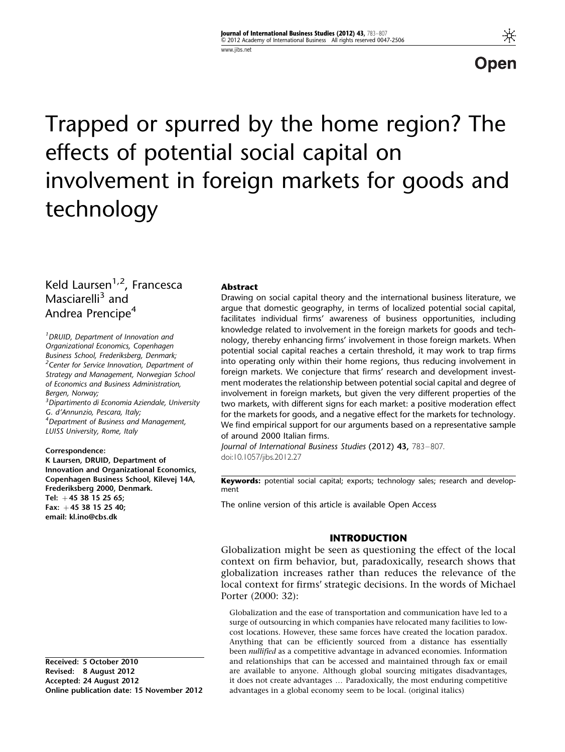**Open** 

# Trapped or spurred by the home region? The effects of potential social capital on involvement in foreign markets for goods and technology

# Keld Laursen<sup>1,2</sup>, Francesca Masciarelli<sup>3</sup> and Andrea Prencipe<sup>4</sup>

<sup>1</sup> DRUID, Department of Innovation and Organizational Economics, Copenhagen Business School, Frederiksberg, Denmark; <sup>2</sup> Center for Service Innovation, Department of Strategy and Management, Norwegian School of Economics and Business Administration, Bergen, Norway; <sup>3</sup> Dipartimento di Economia Aziendale, University

G. d'Annunzio, Pescara, Italy; 4 Department of Business and Management, LUISS University, Rome, Italy

#### Correspondence:

K Laursen, DRUID, Department of Innovation and Organizational Economics, Copenhagen Business School, Kilevej 14A, Frederiksberg 2000, Denmark. Tel:  $+45$  38 15 25 65; Fax: +45 38 15 25 40; email: kl.ino@cbs.dk

Received: 5 October 2010 Revised: 8 August 2012 Accepted: 24 August 2012 Online publication date: 15 November 2012

#### Abstract

Drawing on social capital theory and the international business literature, we argue that domestic geography, in terms of localized potential social capital, facilitates individual firms' awareness of business opportunities, including knowledge related to involvement in the foreign markets for goods and technology, thereby enhancing firms' involvement in those foreign markets. When potential social capital reaches a certain threshold, it may work to trap firms into operating only within their home regions, thus reducing involvement in foreign markets. We conjecture that firms' research and development investment moderates the relationship between potential social capital and degree of involvement in foreign markets, but given the very different properties of the two markets, with different signs for each market: a positive moderation effect for the markets for goods, and a negative effect for the markets for technology. We find empirical support for our arguments based on a representative sample of around 2000 Italian firms.

Journal of International Business Studies (2012) 43, 783–807. doi:10.1057/jibs.2012.27

Keywords: potential social capital; exports; technology sales; research and development

The online version of this article is available Open Access

#### INTRODUCTION

Globalization might be seen as questioning the effect of the local context on firm behavior, but, paradoxically, research shows that globalization increases rather than reduces the relevance of the local context for firms' strategic decisions. In the words of Michael Porter (2000: 32):

Globalization and the ease of transportation and communication have led to a surge of outsourcing in which companies have relocated many facilities to lowcost locations. However, these same forces have created the location paradox. Anything that can be efficiently sourced from a distance has essentially been *nullified* as a competitive advantage in advanced economies. Information and relationships that can be accessed and maintained through fax or email are available to anyone. Although global sourcing mitigates disadvantages, it does not create advantages ... Paradoxically, the most enduring competitive advantages in a global economy seem to be local. (original italics)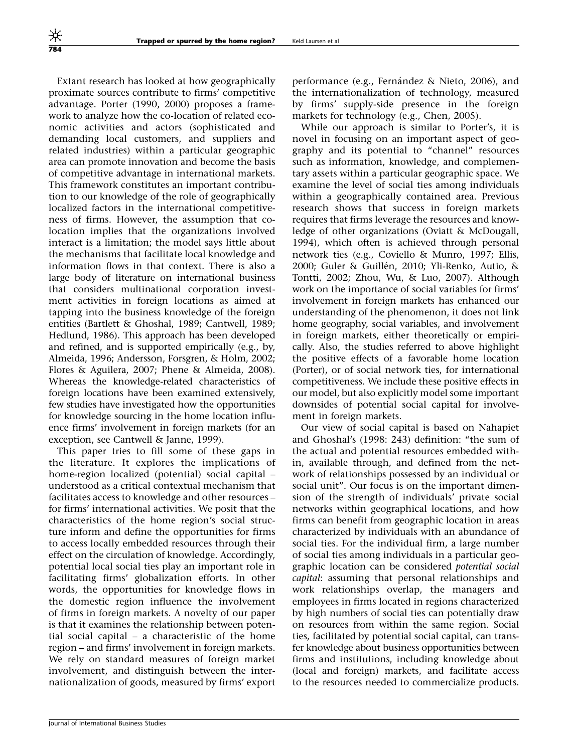Extant research has looked at how geographically proximate sources contribute to firms' competitive advantage. Porter (1990, 2000) proposes a framework to analyze how the co-location of related economic activities and actors (sophisticated and demanding local customers, and suppliers and related industries) within a particular geographic area can promote innovation and become the basis of competitive advantage in international markets. This framework constitutes an important contribution to our knowledge of the role of geographically localized factors in the international competitiveness of firms. However, the assumption that colocation implies that the organizations involved interact is a limitation; the model says little about the mechanisms that facilitate local knowledge and information flows in that context. There is also a large body of literature on international business that considers multinational corporation investment activities in foreign locations as aimed at tapping into the business knowledge of the foreign entities (Bartlett & Ghoshal, 1989; Cantwell, 1989; Hedlund, 1986). This approach has been developed and refined, and is supported empirically (e.g., by, Almeida, 1996; Andersson, Forsgren, & Holm, 2002; Flores & Aguilera, 2007; Phene & Almeida, 2008). Whereas the knowledge-related characteristics of foreign locations have been examined extensively, few studies have investigated how the opportunities for knowledge sourcing in the home location influence firms' involvement in foreign markets (for an exception, see Cantwell & Janne, 1999).

This paper tries to fill some of these gaps in the literature. It explores the implications of home-region localized (potential) social capital – understood as a critical contextual mechanism that facilitates access to knowledge and other resources – for firms' international activities. We posit that the characteristics of the home region's social structure inform and define the opportunities for firms to access locally embedded resources through their effect on the circulation of knowledge. Accordingly, potential local social ties play an important role in facilitating firms' globalization efforts. In other words, the opportunities for knowledge flows in the domestic region influence the involvement of firms in foreign markets. A novelty of our paper is that it examines the relationship between potential social capital – a characteristic of the home region – and firms' involvement in foreign markets. We rely on standard measures of foreign market involvement, and distinguish between the internationalization of goods, measured by firms' export performance (e.g., Fernández & Nieto, 2006), and the internationalization of technology, measured by firms' supply-side presence in the foreign markets for technology (e.g., Chen, 2005).

While our approach is similar to Porter's, it is novel in focusing on an important aspect of geography and its potential to "channel" resources such as information, knowledge, and complementary assets within a particular geographic space. We examine the level of social ties among individuals within a geographically contained area. Previous research shows that success in foreign markets requires that firms leverage the resources and knowledge of other organizations (Oviatt & McDougall, 1994), which often is achieved through personal network ties (e.g., Coviello & Munro, 1997; Ellis, 2000; Guler & Guillén, 2010; Yli-Renko, Autio, & Tontti, 2002; Zhou, Wu, & Luo, 2007). Although work on the importance of social variables for firms' involvement in foreign markets has enhanced our understanding of the phenomenon, it does not link home geography, social variables, and involvement in foreign markets, either theoretically or empirically. Also, the studies referred to above highlight the positive effects of a favorable home location (Porter), or of social network ties, for international competitiveness. We include these positive effects in our model, but also explicitly model some important downsides of potential social capital for involvement in foreign markets.

Our view of social capital is based on Nahapiet and Ghoshal's (1998: 243) definition: "the sum of the actual and potential resources embedded within, available through, and defined from the network of relationships possessed by an individual or social unit". Our focus is on the important dimension of the strength of individuals' private social networks within geographical locations, and how firms can benefit from geographic location in areas characterized by individuals with an abundance of social ties. For the individual firm, a large number of social ties among individuals in a particular geographic location can be considered potential social capital: assuming that personal relationships and work relationships overlap, the managers and employees in firms located in regions characterized by high numbers of social ties can potentially draw on resources from within the same region. Social ties, facilitated by potential social capital, can transfer knowledge about business opportunities between firms and institutions, including knowledge about (local and foreign) markets, and facilitate access to the resources needed to commercialize products.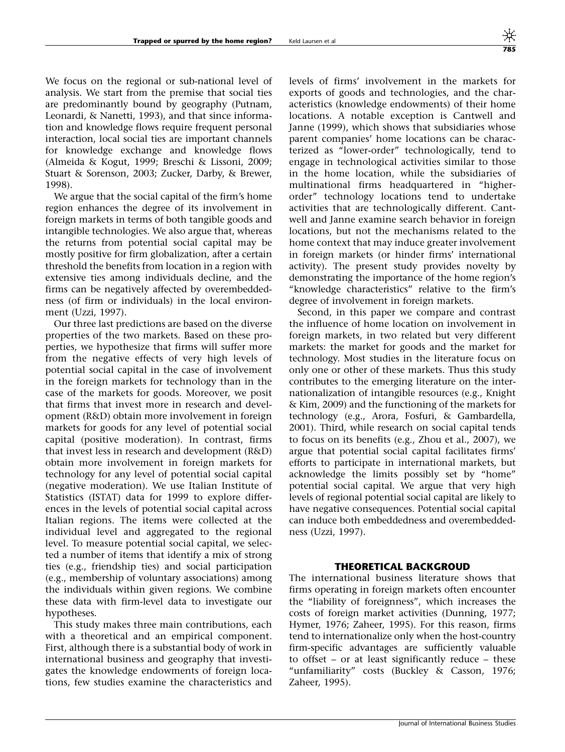We focus on the regional or sub-national level of analysis. We start from the premise that social ties are predominantly bound by geography (Putnam, Leonardi, & Nanetti, 1993), and that since information and knowledge flows require frequent personal interaction, local social ties are important channels for knowledge exchange and knowledge flows (Almeida & Kogut, 1999; Breschi & Lissoni, 2009; Stuart & Sorenson, 2003; Zucker, Darby, & Brewer, 1998).

We argue that the social capital of the firm's home region enhances the degree of its involvement in foreign markets in terms of both tangible goods and intangible technologies. We also argue that, whereas the returns from potential social capital may be mostly positive for firm globalization, after a certain threshold the benefits from location in a region with extensive ties among individuals decline, and the firms can be negatively affected by overembeddedness (of firm or individuals) in the local environment (Uzzi, 1997).

Our three last predictions are based on the diverse properties of the two markets. Based on these properties, we hypothesize that firms will suffer more from the negative effects of very high levels of potential social capital in the case of involvement in the foreign markets for technology than in the case of the markets for goods. Moreover, we posit that firms that invest more in research and development (R&D) obtain more involvement in foreign markets for goods for any level of potential social capital (positive moderation). In contrast, firms that invest less in research and development (R&D) obtain more involvement in foreign markets for technology for any level of potential social capital (negative moderation). We use Italian Institute of Statistics (ISTAT) data for 1999 to explore differences in the levels of potential social capital across Italian regions. The items were collected at the individual level and aggregated to the regional level. To measure potential social capital, we selected a number of items that identify a mix of strong ties (e.g., friendship ties) and social participation (e.g., membership of voluntary associations) among the individuals within given regions. We combine these data with firm-level data to investigate our hypotheses.

This study makes three main contributions, each with a theoretical and an empirical component. First, although there is a substantial body of work in international business and geography that investigates the knowledge endowments of foreign locations, few studies examine the characteristics and levels of firms' involvement in the markets for exports of goods and technologies, and the characteristics (knowledge endowments) of their home locations. A notable exception is Cantwell and Janne (1999), which shows that subsidiaries whose parent companies' home locations can be characterized as "lower-order" technologically, tend to engage in technological activities similar to those in the home location, while the subsidiaries of multinational firms headquartered in "higherorder" technology locations tend to undertake activities that are technologically different. Cantwell and Janne examine search behavior in foreign locations, but not the mechanisms related to the home context that may induce greater involvement in foreign markets (or hinder firms' international activity). The present study provides novelty by demonstrating the importance of the home region's "knowledge characteristics" relative to the firm's degree of involvement in foreign markets.

Second, in this paper we compare and contrast the influence of home location on involvement in foreign markets, in two related but very different markets: the market for goods and the market for technology. Most studies in the literature focus on only one or other of these markets. Thus this study contributes to the emerging literature on the internationalization of intangible resources (e.g., Knight & Kim, 2009) and the functioning of the markets for technology (e.g., Arora, Fosfuri, & Gambardella, 2001). Third, while research on social capital tends to focus on its benefits (e.g., Zhou et al., 2007), we argue that potential social capital facilitates firms' efforts to participate in international markets, but acknowledge the limits possibly set by "home" potential social capital. We argue that very high levels of regional potential social capital are likely to have negative consequences. Potential social capital can induce both embeddedness and overembeddedness (Uzzi, 1997).

#### THEORETICAL BACKGROUD

The international business literature shows that firms operating in foreign markets often encounter the "liability of foreignness", which increases the costs of foreign market activities (Dunning, 1977; Hymer, 1976; Zaheer, 1995). For this reason, firms tend to internationalize only when the host-country firm-specific advantages are sufficiently valuable to offset – or at least significantly reduce – these "unfamiliarity" costs (Buckley & Casson, 1976; Zaheer, 1995).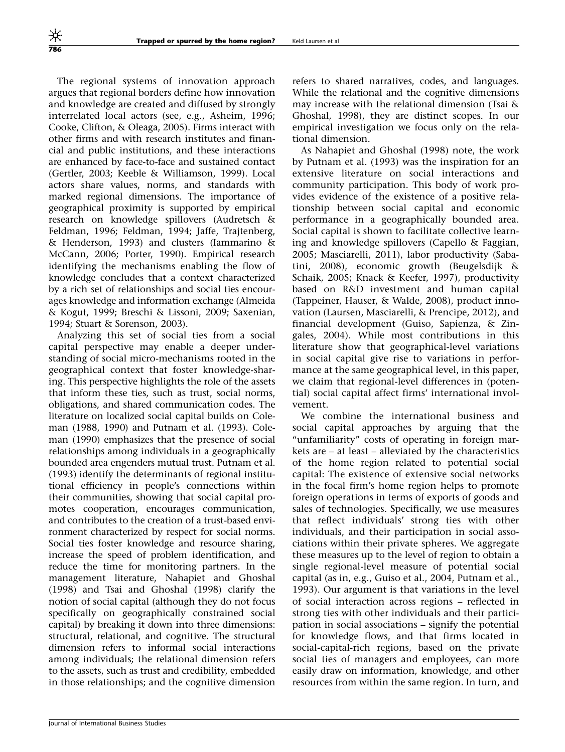The regional systems of innovation approach argues that regional borders define how innovation and knowledge are created and diffused by strongly interrelated local actors (see, e.g., Asheim, 1996; Cooke, Clifton, & Oleaga, 2005). Firms interact with other firms and with research institutes and financial and public institutions, and these interactions are enhanced by face-to-face and sustained contact (Gertler, 2003; Keeble & Williamson, 1999). Local actors share values, norms, and standards with marked regional dimensions. The importance of geographical proximity is supported by empirical research on knowledge spillovers (Audretsch & Feldman, 1996; Feldman, 1994; Jaffe, Trajtenberg, & Henderson, 1993) and clusters (Iammarino & McCann, 2006; Porter, 1990). Empirical research identifying the mechanisms enabling the flow of knowledge concludes that a context characterized by a rich set of relationships and social ties encourages knowledge and information exchange (Almeida & Kogut, 1999; Breschi & Lissoni, 2009; Saxenian, 1994; Stuart & Sorenson, 2003).

Analyzing this set of social ties from a social capital perspective may enable a deeper understanding of social micro-mechanisms rooted in the geographical context that foster knowledge-sharing. This perspective highlights the role of the assets that inform these ties, such as trust, social norms, obligations, and shared communication codes. The literature on localized social capital builds on Coleman (1988, 1990) and Putnam et al. (1993). Coleman (1990) emphasizes that the presence of social relationships among individuals in a geographically bounded area engenders mutual trust. Putnam et al. (1993) identify the determinants of regional institutional efficiency in people's connections within their communities, showing that social capital promotes cooperation, encourages communication, and contributes to the creation of a trust-based environment characterized by respect for social norms. Social ties foster knowledge and resource sharing, increase the speed of problem identification, and reduce the time for monitoring partners. In the management literature, Nahapiet and Ghoshal (1998) and Tsai and Ghoshal (1998) clarify the notion of social capital (although they do not focus specifically on geographically constrained social capital) by breaking it down into three dimensions: structural, relational, and cognitive. The structural dimension refers to informal social interactions among individuals; the relational dimension refers to the assets, such as trust and credibility, embedded in those relationships; and the cognitive dimension refers to shared narratives, codes, and languages. While the relational and the cognitive dimensions may increase with the relational dimension (Tsai & Ghoshal, 1998), they are distinct scopes. In our empirical investigation we focus only on the relational dimension.

As Nahapiet and Ghoshal (1998) note, the work by Putnam et al. (1993) was the inspiration for an extensive literature on social interactions and community participation. This body of work provides evidence of the existence of a positive relationship between social capital and economic performance in a geographically bounded area. Social capital is shown to facilitate collective learning and knowledge spillovers (Capello & Faggian, 2005; Masciarelli, 2011), labor productivity (Sabatini, 2008), economic growth (Beugelsdijk & Schaik, 2005; Knack & Keefer, 1997), productivity based on R&D investment and human capital (Tappeiner, Hauser, & Walde, 2008), product innovation (Laursen, Masciarelli, & Prencipe, 2012), and financial development (Guiso, Sapienza, & Zingales, 2004). While most contributions in this literature show that geographical-level variations in social capital give rise to variations in performance at the same geographical level, in this paper, we claim that regional-level differences in (potential) social capital affect firms' international involvement.

We combine the international business and social capital approaches by arguing that the "unfamiliarity" costs of operating in foreign markets are – at least – alleviated by the characteristics of the home region related to potential social capital: The existence of extensive social networks in the focal firm's home region helps to promote foreign operations in terms of exports of goods and sales of technologies. Specifically, we use measures that reflect individuals' strong ties with other individuals, and their participation in social associations within their private spheres. We aggregate these measures up to the level of region to obtain a single regional-level measure of potential social capital (as in, e.g., Guiso et al., 2004, Putnam et al., 1993). Our argument is that variations in the level of social interaction across regions – reflected in strong ties with other individuals and their participation in social associations – signify the potential for knowledge flows, and that firms located in social-capital-rich regions, based on the private social ties of managers and employees, can more easily draw on information, knowledge, and other resources from within the same region. In turn, and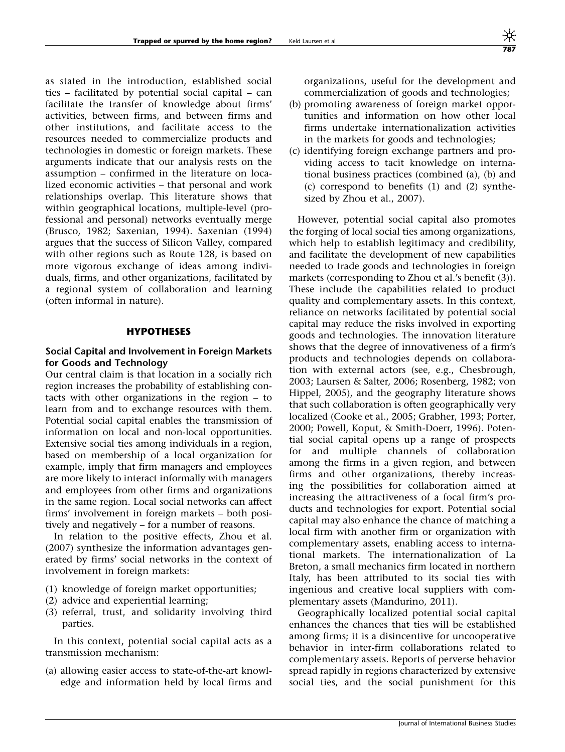as stated in the introduction, established social ties – facilitated by potential social capital – can facilitate the transfer of knowledge about firms' activities, between firms, and between firms and other institutions, and facilitate access to the resources needed to commercialize products and technologies in domestic or foreign markets. These arguments indicate that our analysis rests on the assumption – confirmed in the literature on localized economic activities – that personal and work relationships overlap. This literature shows that within geographical locations, multiple-level (professional and personal) networks eventually merge (Brusco, 1982; Saxenian, 1994). Saxenian (1994) argues that the success of Silicon Valley, compared with other regions such as Route 128, is based on more vigorous exchange of ideas among individuals, firms, and other organizations, facilitated by a regional system of collaboration and learning (often informal in nature).

#### HYPOTHESES

# Social Capital and Involvement in Foreign Markets for Goods and Technology

Our central claim is that location in a socially rich region increases the probability of establishing contacts with other organizations in the region – to learn from and to exchange resources with them. Potential social capital enables the transmission of information on local and non-local opportunities. Extensive social ties among individuals in a region, based on membership of a local organization for example, imply that firm managers and employees are more likely to interact informally with managers and employees from other firms and organizations in the same region. Local social networks can affect firms' involvement in foreign markets – both positively and negatively – for a number of reasons.

In relation to the positive effects, Zhou et al. (2007) synthesize the information advantages generated by firms' social networks in the context of involvement in foreign markets:

- (1) knowledge of foreign market opportunities;
- (2) advice and experiential learning;
- (3) referral, trust, and solidarity involving third parties.

In this context, potential social capital acts as a transmission mechanism:

(a) allowing easier access to state-of-the-art knowledge and information held by local firms and organizations, useful for the development and commercialization of goods and technologies;

- (b) promoting awareness of foreign market opportunities and information on how other local firms undertake internationalization activities in the markets for goods and technologies;
- (c) identifying foreign exchange partners and providing access to tacit knowledge on international business practices (combined (a), (b) and (c) correspond to benefits (1) and (2) synthesized by Zhou et al., 2007).

However, potential social capital also promotes the forging of local social ties among organizations, which help to establish legitimacy and credibility, and facilitate the development of new capabilities needed to trade goods and technologies in foreign markets (corresponding to Zhou et al.'s benefit (3)). These include the capabilities related to product quality and complementary assets. In this context, reliance on networks facilitated by potential social capital may reduce the risks involved in exporting goods and technologies. The innovation literature shows that the degree of innovativeness of a firm's products and technologies depends on collaboration with external actors (see, e.g., Chesbrough, 2003; Laursen & Salter, 2006; Rosenberg, 1982; von Hippel, 2005), and the geography literature shows that such collaboration is often geographically very localized (Cooke et al., 2005; Grabher, 1993; Porter, 2000; Powell, Koput, & Smith-Doerr, 1996). Potential social capital opens up a range of prospects for and multiple channels of collaboration among the firms in a given region, and between firms and other organizations, thereby increasing the possibilities for collaboration aimed at increasing the attractiveness of a focal firm's products and technologies for export. Potential social capital may also enhance the chance of matching a local firm with another firm or organization with complementary assets, enabling access to international markets. The internationalization of La Breton, a small mechanics firm located in northern Italy, has been attributed to its social ties with ingenious and creative local suppliers with complementary assets (Mandurino, 2011).

Geographically localized potential social capital enhances the chances that ties will be established among firms; it is a disincentive for uncooperative behavior in inter-firm collaborations related to complementary assets. Reports of perverse behavior spread rapidly in regions characterized by extensive social ties, and the social punishment for this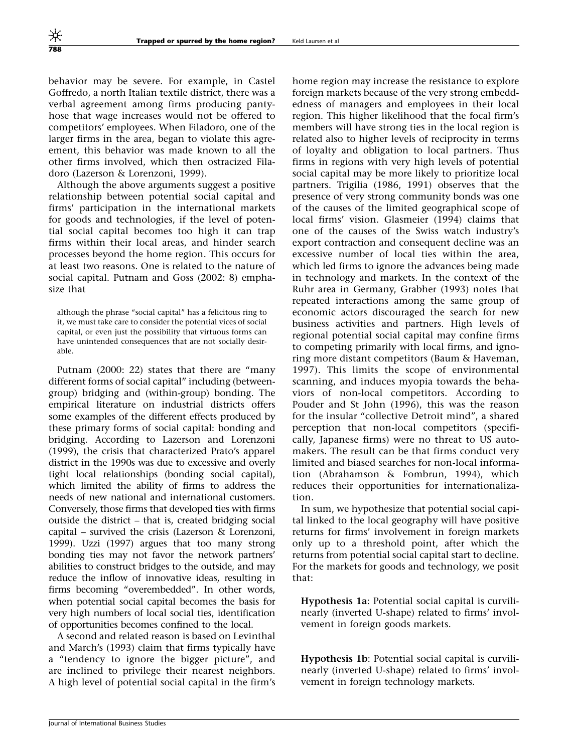behavior may be severe. For example, in Castel Goffredo, a north Italian textile district, there was a verbal agreement among firms producing pantyhose that wage increases would not be offered to competitors' employees. When Filadoro, one of the larger firms in the area, began to violate this agreement, this behavior was made known to all the other firms involved, which then ostracized Filadoro (Lazerson & Lorenzoni, 1999).

Although the above arguments suggest a positive relationship between potential social capital and firms' participation in the international markets for goods and technologies, if the level of potential social capital becomes too high it can trap firms within their local areas, and hinder search processes beyond the home region. This occurs for at least two reasons. One is related to the nature of social capital. Putnam and Goss (2002: 8) emphasize that

Putnam (2000: 22) states that there are "many different forms of social capital" including (betweengroup) bridging and (within-group) bonding. The empirical literature on industrial districts offers some examples of the different effects produced by these primary forms of social capital: bonding and bridging. According to Lazerson and Lorenzoni (1999), the crisis that characterized Prato's apparel district in the 1990s was due to excessive and overly tight local relationships (bonding social capital), which limited the ability of firms to address the needs of new national and international customers. Conversely, those firms that developed ties with firms outside the district – that is, created bridging social capital – survived the crisis (Lazerson & Lorenzoni, 1999). Uzzi (1997) argues that too many strong bonding ties may not favor the network partners' abilities to construct bridges to the outside, and may reduce the inflow of innovative ideas, resulting in firms becoming "overembedded". In other words, when potential social capital becomes the basis for very high numbers of local social ties, identification of opportunities becomes confined to the local.

A second and related reason is based on Levinthal and March's (1993) claim that firms typically have a "tendency to ignore the bigger picture", and are inclined to privilege their nearest neighbors. A high level of potential social capital in the firm's home region may increase the resistance to explore foreign markets because of the very strong embeddedness of managers and employees in their local region. This higher likelihood that the focal firm's members will have strong ties in the local region is related also to higher levels of reciprocity in terms of loyalty and obligation to local partners. Thus firms in regions with very high levels of potential social capital may be more likely to prioritize local partners. Trigilia (1986, 1991) observes that the presence of very strong community bonds was one of the causes of the limited geographical scope of local firms' vision. Glasmeier (1994) claims that one of the causes of the Swiss watch industry's export contraction and consequent decline was an excessive number of local ties within the area, which led firms to ignore the advances being made in technology and markets. In the context of the Ruhr area in Germany, Grabher (1993) notes that repeated interactions among the same group of economic actors discouraged the search for new business activities and partners. High levels of regional potential social capital may confine firms to competing primarily with local firms, and ignoring more distant competitors (Baum & Haveman, 1997). This limits the scope of environmental scanning, and induces myopia towards the behaviors of non-local competitors. According to Pouder and St John (1996), this was the reason for the insular "collective Detroit mind", a shared perception that non-local competitors (specifically, Japanese firms) were no threat to US automakers. The result can be that firms conduct very limited and biased searches for non-local information (Abrahamson & Fombrun, 1994), which reduces their opportunities for internationalization.

In sum, we hypothesize that potential social capital linked to the local geography will have positive returns for firms' involvement in foreign markets only up to a threshold point, after which the returns from potential social capital start to decline. For the markets for goods and technology, we posit that:

Hypothesis 1a: Potential social capital is curvilinearly (inverted U-shape) related to firms' involvement in foreign goods markets.

Hypothesis 1b: Potential social capital is curvilinearly (inverted U-shape) related to firms' involvement in foreign technology markets.

although the phrase "social capital" has a felicitous ring to it, we must take care to consider the potential vices of social capital, or even just the possibility that virtuous forms can have unintended consequences that are not socially desirable.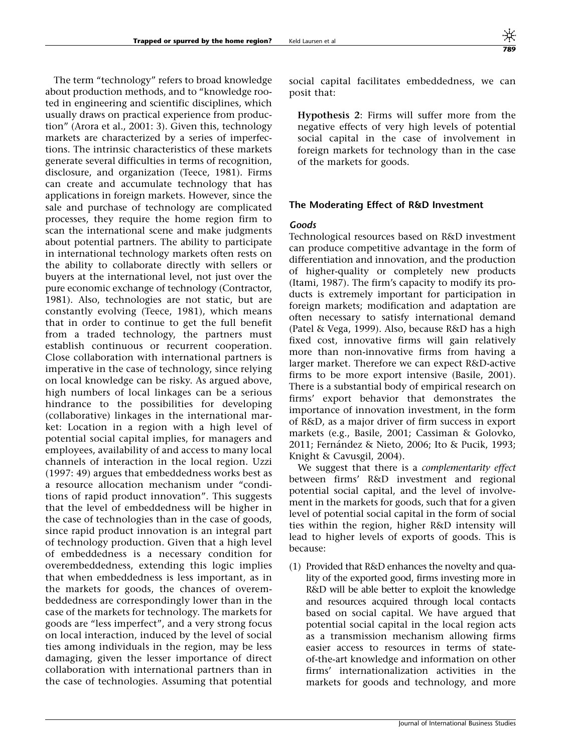The term "technology" refers to broad knowledge about production methods, and to "knowledge rooted in engineering and scientific disciplines, which usually draws on practical experience from production" (Arora et al., 2001: 3). Given this, technology markets are characterized by a series of imperfections. The intrinsic characteristics of these markets generate several difficulties in terms of recognition, disclosure, and organization (Teece, 1981). Firms can create and accumulate technology that has applications in foreign markets. However, since the sale and purchase of technology are complicated processes, they require the home region firm to scan the international scene and make judgments about potential partners. The ability to participate in international technology markets often rests on the ability to collaborate directly with sellers or buyers at the international level, not just over the pure economic exchange of technology (Contractor, 1981). Also, technologies are not static, but are constantly evolving (Teece, 1981), which means that in order to continue to get the full benefit from a traded technology, the partners must establish continuous or recurrent cooperation. Close collaboration with international partners is imperative in the case of technology, since relying on local knowledge can be risky. As argued above, high numbers of local linkages can be a serious hindrance to the possibilities for developing (collaborative) linkages in the international market: Location in a region with a high level of potential social capital implies, for managers and employees, availability of and access to many local channels of interaction in the local region. Uzzi (1997: 49) argues that embeddedness works best as a resource allocation mechanism under "conditions of rapid product innovation". This suggests that the level of embeddedness will be higher in the case of technologies than in the case of goods, since rapid product innovation is an integral part of technology production. Given that a high level of embeddedness is a necessary condition for overembeddedness, extending this logic implies that when embeddedness is less important, as in the markets for goods, the chances of overembeddedness are correspondingly lower than in the case of the markets for technology. The markets for goods are "less imperfect", and a very strong focus on local interaction, induced by the level of social ties among individuals in the region, may be less damaging, given the lesser importance of direct collaboration with international partners than in the case of technologies. Assuming that potential

social capital facilitates embeddedness, we can posit that:

Hypothesis 2: Firms will suffer more from the negative effects of very high levels of potential social capital in the case of involvement in foreign markets for technology than in the case of the markets for goods.

# The Moderating Effect of R&D Investment

#### Goods

Technological resources based on R&D investment can produce competitive advantage in the form of differentiation and innovation, and the production of higher-quality or completely new products (Itami, 1987). The firm's capacity to modify its products is extremely important for participation in foreign markets; modification and adaptation are often necessary to satisfy international demand (Patel & Vega, 1999). Also, because R&D has a high fixed cost, innovative firms will gain relatively more than non-innovative firms from having a larger market. Therefore we can expect R&D-active firms to be more export intensive (Basile, 2001). There is a substantial body of empirical research on firms' export behavior that demonstrates the importance of innovation investment, in the form of R&D, as a major driver of firm success in export markets (e.g., Basile, 2001; Cassiman & Golovko, 2011; Fernández & Nieto, 2006; Ito & Pucik, 1993; Knight & Cavusgil, 2004).

We suggest that there is a complementarity effect between firms' R&D investment and regional potential social capital, and the level of involvement in the markets for goods, such that for a given level of potential social capital in the form of social ties within the region, higher R&D intensity will lead to higher levels of exports of goods. This is because:

(1) Provided that R&D enhances the novelty and quality of the exported good, firms investing more in R&D will be able better to exploit the knowledge and resources acquired through local contacts based on social capital. We have argued that potential social capital in the local region acts as a transmission mechanism allowing firms easier access to resources in terms of stateof-the-art knowledge and information on other firms' internationalization activities in the markets for goods and technology, and more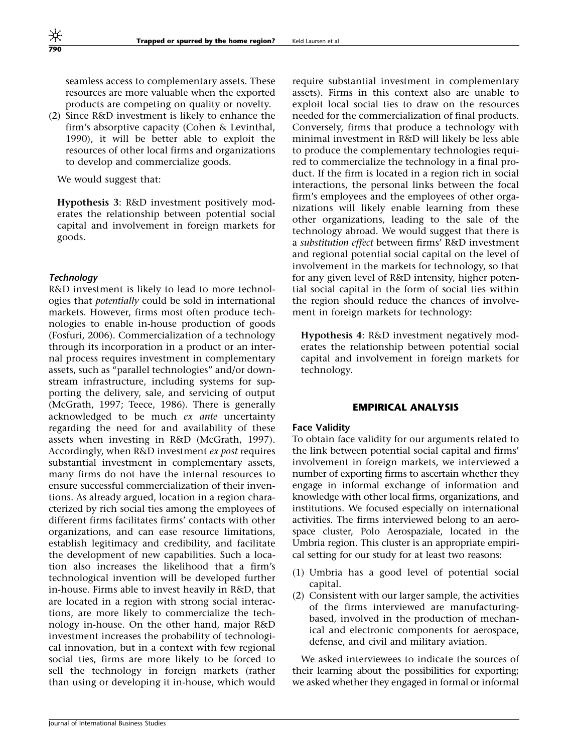seamless access to complementary assets. These resources are more valuable when the exported products are competing on quality or novelty.

(2) Since R&D investment is likely to enhance the firm's absorptive capacity (Cohen & Levinthal, 1990), it will be better able to exploit the resources of other local firms and organizations to develop and commercialize goods.

We would suggest that:

Hypothesis 3: R&D investment positively moderates the relationship between potential social capital and involvement in foreign markets for goods.

# **Technology**

R&D investment is likely to lead to more technologies that potentially could be sold in international markets. However, firms most often produce technologies to enable in-house production of goods (Fosfuri, 2006). Commercialization of a technology through its incorporation in a product or an internal process requires investment in complementary assets, such as "parallel technologies" and/or downstream infrastructure, including systems for supporting the delivery, sale, and servicing of output (McGrath, 1997; Teece, 1986). There is generally acknowledged to be much ex ante uncertainty regarding the need for and availability of these assets when investing in R&D (McGrath, 1997). Accordingly, when R&D investment ex post requires substantial investment in complementary assets, many firms do not have the internal resources to ensure successful commercialization of their inventions. As already argued, location in a region characterized by rich social ties among the employees of different firms facilitates firms' contacts with other organizations, and can ease resource limitations, establish legitimacy and credibility, and facilitate the development of new capabilities. Such a location also increases the likelihood that a firm's technological invention will be developed further in-house. Firms able to invest heavily in R&D, that are located in a region with strong social interactions, are more likely to commercialize the technology in-house. On the other hand, major R&D investment increases the probability of technological innovation, but in a context with few regional social ties, firms are more likely to be forced to sell the technology in foreign markets (rather than using or developing it in-house, which would require substantial investment in complementary assets). Firms in this context also are unable to exploit local social ties to draw on the resources needed for the commercialization of final products. Conversely, firms that produce a technology with minimal investment in R&D will likely be less able to produce the complementary technologies required to commercialize the technology in a final product. If the firm is located in a region rich in social interactions, the personal links between the focal firm's employees and the employees of other organizations will likely enable learning from these other organizations, leading to the sale of the technology abroad. We would suggest that there is a substitution effect between firms' R&D investment and regional potential social capital on the level of involvement in the markets for technology, so that for any given level of R&D intensity, higher potential social capital in the form of social ties within the region should reduce the chances of involvement in foreign markets for technology:

Hypothesis 4: R&D investment negatively moderates the relationship between potential social capital and involvement in foreign markets for technology.

#### EMPIRICAL ANALYSIS

#### Face Validity

To obtain face validity for our arguments related to the link between potential social capital and firms' involvement in foreign markets, we interviewed a number of exporting firms to ascertain whether they engage in informal exchange of information and knowledge with other local firms, organizations, and institutions. We focused especially on international activities. The firms interviewed belong to an aerospace cluster, Polo Aerospaziale, located in the Umbria region. This cluster is an appropriate empirical setting for our study for at least two reasons:

- (1) Umbria has a good level of potential social capital.
- (2) Consistent with our larger sample, the activities of the firms interviewed are manufacturingbased, involved in the production of mechanical and electronic components for aerospace, defense, and civil and military aviation.

We asked interviewees to indicate the sources of their learning about the possibilities for exporting; we asked whether they engaged in formal or informal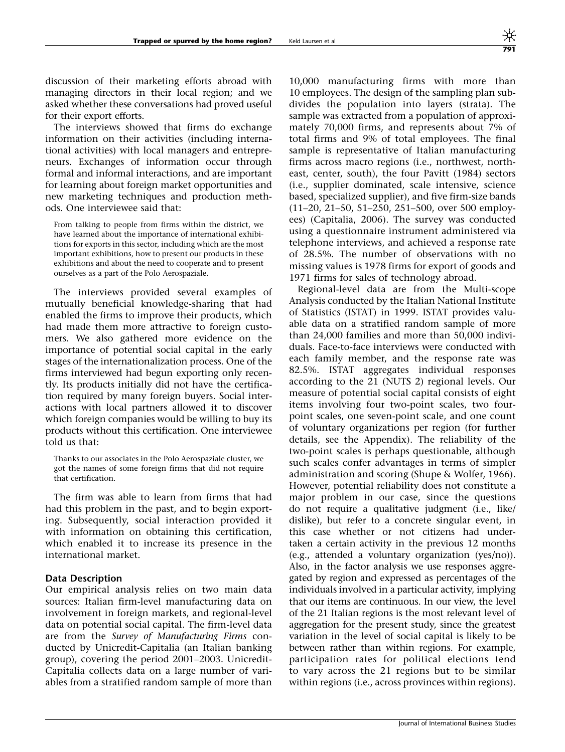discussion of their marketing efforts abroad with managing directors in their local region; and we asked whether these conversations had proved useful for their export efforts.

The interviews showed that firms do exchange information on their activities (including international activities) with local managers and entrepreneurs. Exchanges of information occur through formal and informal interactions, and are important for learning about foreign market opportunities and new marketing techniques and production methods. One interviewee said that:

From talking to people from firms within the district, we have learned about the importance of international exhibitions for exports in this sector, including which are the most important exhibitions, how to present our products in these exhibitions and about the need to cooperate and to present ourselves as a part of the Polo Aerospaziale.

The interviews provided several examples of mutually beneficial knowledge-sharing that had enabled the firms to improve their products, which had made them more attractive to foreign customers. We also gathered more evidence on the importance of potential social capital in the early stages of the internationalization process. One of the firms interviewed had begun exporting only recently. Its products initially did not have the certification required by many foreign buyers. Social interactions with local partners allowed it to discover which foreign companies would be willing to buy its products without this certification. One interviewee told us that:

Thanks to our associates in the Polo Aerospaziale cluster, we got the names of some foreign firms that did not require that certification.

The firm was able to learn from firms that had had this problem in the past, and to begin exporting. Subsequently, social interaction provided it with information on obtaining this certification, which enabled it to increase its presence in the international market.

# Data Description

Our empirical analysis relies on two main data sources: Italian firm-level manufacturing data on involvement in foreign markets, and regional-level data on potential social capital. The firm-level data are from the Survey of Manufacturing Firms conducted by Unicredit-Capitalia (an Italian banking group), covering the period 2001–2003. Unicredit-Capitalia collects data on a large number of variables from a stratified random sample of more than

10,000 manufacturing firms with more than 10 employees. The design of the sampling plan subdivides the population into layers (strata). The sample was extracted from a population of approximately 70,000 firms, and represents about 7% of total firms and 9% of total employees. The final sample is representative of Italian manufacturing firms across macro regions (i.e., northwest, northeast, center, south), the four Pavitt (1984) sectors (i.e., supplier dominated, scale intensive, science based, specialized supplier), and five firm-size bands (11–20, 21–50, 51–250, 251–500, over 500 employees) (Capitalia, 2006). The survey was conducted using a questionnaire instrument administered via telephone interviews, and achieved a response rate of 28.5%. The number of observations with no missing values is 1978 firms for export of goods and 1971 firms for sales of technology abroad.

Regional-level data are from the Multi-scope Analysis conducted by the Italian National Institute of Statistics (ISTAT) in 1999. ISTAT provides valuable data on a stratified random sample of more than 24,000 families and more than 50,000 individuals. Face-to-face interviews were conducted with each family member, and the response rate was 82.5%. ISTAT aggregates individual responses according to the 21 (NUTS 2) regional levels. Our measure of potential social capital consists of eight items involving four two-point scales, two fourpoint scales, one seven-point scale, and one count of voluntary organizations per region (for further details, see the Appendix). The reliability of the two-point scales is perhaps questionable, although such scales confer advantages in terms of simpler administration and scoring (Shupe & Wolfer, 1966). However, potential reliability does not constitute a major problem in our case, since the questions do not require a qualitative judgment (i.e., like/ dislike), but refer to a concrete singular event, in this case whether or not citizens had undertaken a certain activity in the previous 12 months (e.g., attended a voluntary organization (yes/no)). Also, in the factor analysis we use responses aggregated by region and expressed as percentages of the individuals involved in a particular activity, implying that our items are continuous. In our view, the level of the 21 Italian regions is the most relevant level of aggregation for the present study, since the greatest variation in the level of social capital is likely to be between rather than within regions. For example, participation rates for political elections tend to vary across the 21 regions but to be similar within regions (i.e., across provinces within regions).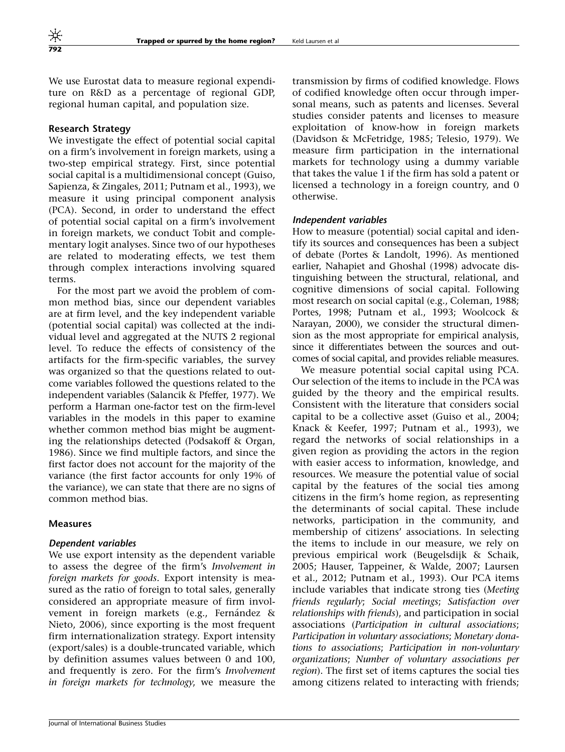We use Eurostat data to measure regional expenditure on R&D as a percentage of regional GDP, regional human capital, and population size.

#### Research Strategy

We investigate the effect of potential social capital on a firm's involvement in foreign markets, using a two-step empirical strategy. First, since potential social capital is a multidimensional concept (Guiso, Sapienza, & Zingales, 2011; Putnam et al., 1993), we measure it using principal component analysis (PCA). Second, in order to understand the effect of potential social capital on a firm's involvement in foreign markets, we conduct Tobit and complementary logit analyses. Since two of our hypotheses are related to moderating effects, we test them through complex interactions involving squared terms.

For the most part we avoid the problem of common method bias, since our dependent variables are at firm level, and the key independent variable (potential social capital) was collected at the individual level and aggregated at the NUTS 2 regional level. To reduce the effects of consistency of the artifacts for the firm-specific variables, the survey was organized so that the questions related to outcome variables followed the questions related to the independent variables (Salancik & Pfeffer, 1977). We perform a Harman one-factor test on the firm-level variables in the models in this paper to examine whether common method bias might be augmenting the relationships detected (Podsakoff & Organ, 1986). Since we find multiple factors, and since the first factor does not account for the majority of the variance (the first factor accounts for only 19% of the variance), we can state that there are no signs of common method bias.

#### Measures

#### Dependent variables

We use export intensity as the dependent variable to assess the degree of the firm's Involvement in foreign markets for goods. Export intensity is measured as the ratio of foreign to total sales, generally considered an appropriate measure of firm involvement in foreign markets (e.g., Fernández & Nieto, 2006), since exporting is the most frequent firm internationalization strategy. Export intensity (export/sales) is a double-truncated variable, which by definition assumes values between 0 and 100, and frequently is zero. For the firm's Involvement in foreign markets for technology, we measure the transmission by firms of codified knowledge. Flows of codified knowledge often occur through impersonal means, such as patents and licenses. Several studies consider patents and licenses to measure exploitation of know-how in foreign markets (Davidson & McFetridge, 1985; Telesio, 1979). We measure firm participation in the international markets for technology using a dummy variable that takes the value 1 if the firm has sold a patent or licensed a technology in a foreign country, and 0 otherwise.

#### Independent variables

How to measure (potential) social capital and identify its sources and consequences has been a subject of debate (Portes & Landolt, 1996). As mentioned earlier, Nahapiet and Ghoshal (1998) advocate distinguishing between the structural, relational, and cognitive dimensions of social capital. Following most research on social capital (e.g., Coleman, 1988; Portes, 1998; Putnam et al., 1993; Woolcock & Narayan, 2000), we consider the structural dimension as the most appropriate for empirical analysis, since it differentiates between the sources and outcomes of social capital, and provides reliable measures.

We measure potential social capital using PCA. Our selection of the items to include in the PCA was guided by the theory and the empirical results. Consistent with the literature that considers social capital to be a collective asset (Guiso et al., 2004; Knack & Keefer, 1997; Putnam et al., 1993), we regard the networks of social relationships in a given region as providing the actors in the region with easier access to information, knowledge, and resources. We measure the potential value of social capital by the features of the social ties among citizens in the firm's home region, as representing the determinants of social capital. These include networks, participation in the community, and membership of citizens' associations. In selecting the items to include in our measure, we rely on previous empirical work (Beugelsdijk & Schaik, 2005; Hauser, Tappeiner, & Walde, 2007; Laursen et al., 2012; Putnam et al., 1993). Our PCA items include variables that indicate strong ties (Meeting friends regularly; Social meetings; Satisfaction over relationships with friends), and participation in social associations (Participation in cultural associations; Participation in voluntary associations; Monetary donations to associations; Participation in non-voluntary organizations; Number of voluntary associations per region). The first set of items captures the social ties among citizens related to interacting with friends;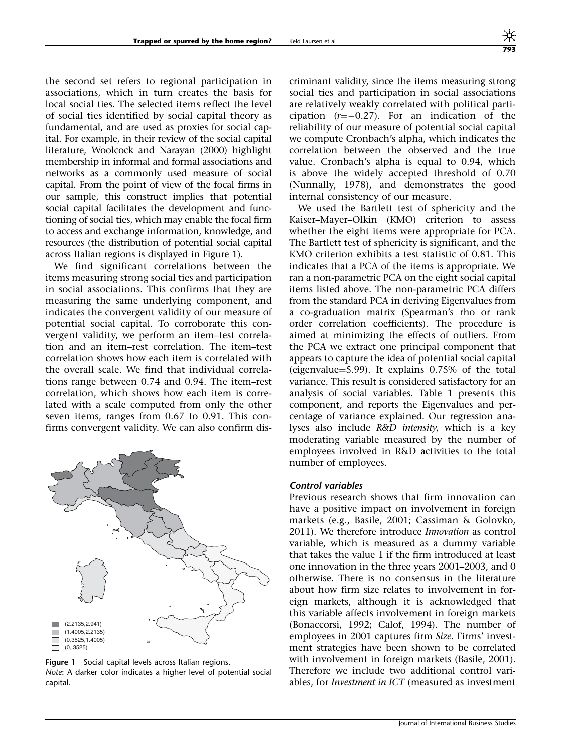793

the second set refers to regional participation in associations, which in turn creates the basis for local social ties. The selected items reflect the level of social ties identified by social capital theory as fundamental, and are used as proxies for social capital. For example, in their review of the social capital literature, Woolcock and Narayan (2000) highlight membership in informal and formal associations and networks as a commonly used measure of social capital. From the point of view of the focal firms in our sample, this construct implies that potential social capital facilitates the development and functioning of social ties, which may enable the focal firm to access and exchange information, knowledge, and resources (the distribution of potential social capital across Italian regions is displayed in Figure 1).

We find significant correlations between the items measuring strong social ties and participation in social associations. This confirms that they are measuring the same underlying component, and indicates the convergent validity of our measure of potential social capital. To corroborate this convergent validity, we perform an item–test correlation and an item–rest correlation. The item–test correlation shows how each item is correlated with the overall scale. We find that individual correlations range between 0.74 and 0.94. The item–rest correlation, which shows how each item is correlated with a scale computed from only the other seven items, ranges from 0.67 to 0.91. This confirms convergent validity. We can also confirm dis-



Figure 1 Social capital levels across Italian regions. Note: A darker color indicates a higher level of potential social capital.

criminant validity, since the items measuring strong social ties and participation in social associations are relatively weakly correlated with political participation  $(r=-0.27)$ . For an indication of the reliability of our measure of potential social capital we compute Cronbach's alpha, which indicates the correlation between the observed and the true value. Cronbach's alpha is equal to 0.94, which is above the widely accepted threshold of 0.70 (Nunnally, 1978), and demonstrates the good internal consistency of our measure.

We used the Bartlett test of sphericity and the Kaiser–Mayer–Olkin (KMO) criterion to assess whether the eight items were appropriate for PCA. The Bartlett test of sphericity is significant, and the KMO criterion exhibits a test statistic of 0.81. This indicates that a PCA of the items is appropriate. We ran a non-parametric PCA on the eight social capital items listed above. The non-parametric PCA differs from the standard PCA in deriving Eigenvalues from a co-graduation matrix (Spearman's rho or rank order correlation coefficients). The procedure is aimed at minimizing the effects of outliers. From the PCA we extract one principal component that appears to capture the idea of potential social capital (eigenvalue=5.99). It explains  $0.75\%$  of the total variance. This result is considered satisfactory for an analysis of social variables. Table 1 presents this component, and reports the Eigenvalues and percentage of variance explained. Our regression analyses also include R&D intensity, which is a key moderating variable measured by the number of employees involved in R&D activities to the total number of employees.

#### Control variables

Previous research shows that firm innovation can have a positive impact on involvement in foreign markets (e.g., Basile, 2001; Cassiman & Golovko, 2011). We therefore introduce Innovation as control variable, which is measured as a dummy variable that takes the value 1 if the firm introduced at least one innovation in the three years 2001–2003, and 0 otherwise. There is no consensus in the literature about how firm size relates to involvement in foreign markets, although it is acknowledged that this variable affects involvement in foreign markets (Bonaccorsi, 1992; Calof, 1994). The number of employees in 2001 captures firm Size. Firms' investment strategies have been shown to be correlated with involvement in foreign markets (Basile, 2001). Therefore we include two additional control variables, for Investment in ICT (measured as investment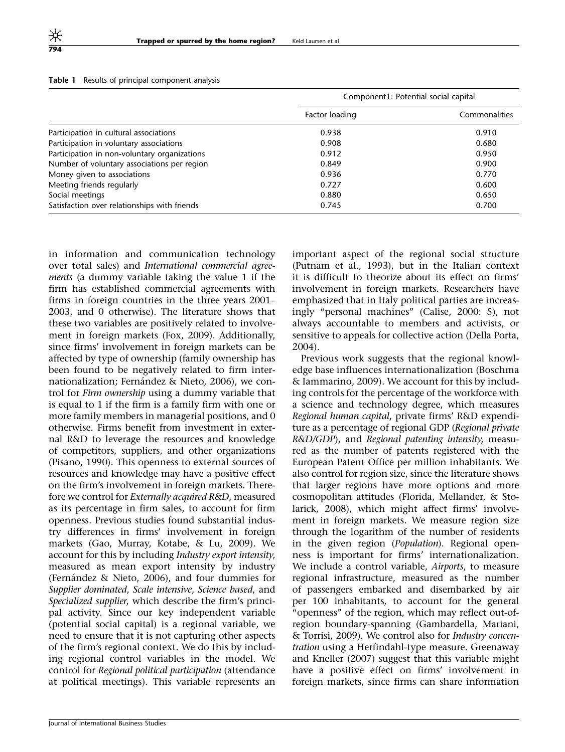|                                              | Component1: Potential social capital |               |  |  |  |  |
|----------------------------------------------|--------------------------------------|---------------|--|--|--|--|
|                                              | Factor loading                       | Commonalities |  |  |  |  |
| Participation in cultural associations       | 0.938                                | 0.910         |  |  |  |  |
| Participation in voluntary associations      | 0.908                                | 0.680         |  |  |  |  |
| Participation in non-voluntary organizations | 0.912                                | 0.950         |  |  |  |  |
| Number of voluntary associations per region  | 0.849                                | 0.900         |  |  |  |  |
| Money given to associations                  | 0.936                                | 0.770         |  |  |  |  |
| Meeting friends regularly                    | 0.727                                | 0.600         |  |  |  |  |
| Social meetings                              | 0.880                                | 0.650         |  |  |  |  |
| Satisfaction over relationships with friends | 0.745                                | 0.700         |  |  |  |  |

|  |  |  | Table 1 Results of principal component analysis |  |  |  |
|--|--|--|-------------------------------------------------|--|--|--|
|--|--|--|-------------------------------------------------|--|--|--|

in information and communication technology over total sales) and International commercial agreements (a dummy variable taking the value 1 if the firm has established commercial agreements with firms in foreign countries in the three years 2001– 2003, and 0 otherwise). The literature shows that these two variables are positively related to involvement in foreign markets (Fox, 2009). Additionally, since firms' involvement in foreign markets can be affected by type of ownership (family ownership has been found to be negatively related to firm internationalization; Fernández & Nieto, 2006), we control for Firm ownership using a dummy variable that is equal to 1 if the firm is a family firm with one or more family members in managerial positions, and 0 otherwise. Firms benefit from investment in external R&D to leverage the resources and knowledge of competitors, suppliers, and other organizations (Pisano, 1990). This openness to external sources of resources and knowledge may have a positive effect on the firm's involvement in foreign markets. Therefore we control for Externally acquired R&D, measured as its percentage in firm sales, to account for firm openness. Previous studies found substantial industry differences in firms' involvement in foreign markets (Gao, Murray, Kotabe, & Lu, 2009). We account for this by including Industry export intensity, measured as mean export intensity by industry (Fernández  $\&$  Nieto, 2006), and four dummies for Supplier dominated, Scale intensive, Science based, and Specialized supplier, which describe the firm's principal activity. Since our key independent variable (potential social capital) is a regional variable, we need to ensure that it is not capturing other aspects of the firm's regional context. We do this by including regional control variables in the model. We control for Regional political participation (attendance at political meetings). This variable represents an important aspect of the regional social structure (Putnam et al., 1993), but in the Italian context it is difficult to theorize about its effect on firms' involvement in foreign markets. Researchers have emphasized that in Italy political parties are increasingly "personal machines" (Calise, 2000: 5), not always accountable to members and activists, or sensitive to appeals for collective action (Della Porta, 2004).

Previous work suggests that the regional knowledge base influences internationalization (Boschma & Iammarino, 2009). We account for this by including controls for the percentage of the workforce with a science and technology degree, which measures Regional human capital, private firms' R&D expenditure as a percentage of regional GDP (Regional private R&D/GDP), and Regional patenting intensity, measured as the number of patents registered with the European Patent Office per million inhabitants. We also control for region size, since the literature shows that larger regions have more options and more cosmopolitan attitudes (Florida, Mellander, & Stolarick, 2008), which might affect firms' involvement in foreign markets. We measure region size through the logarithm of the number of residents in the given region (Population). Regional openness is important for firms' internationalization. We include a control variable, Airports, to measure regional infrastructure, measured as the number of passengers embarked and disembarked by air per 100 inhabitants, to account for the general "openness" of the region, which may reflect out-ofregion boundary-spanning (Gambardella, Mariani, & Torrisi, 2009). We control also for Industry concentration using a Herfindahl-type measure. Greenaway and Kneller (2007) suggest that this variable might have a positive effect on firms' involvement in foreign markets, since firms can share information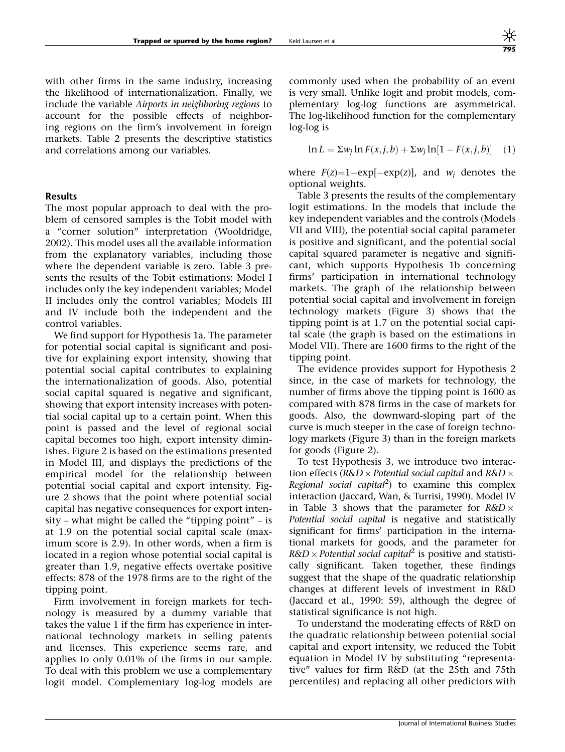with other firms in the same industry, increasing the likelihood of internationalization. Finally, we include the variable Airports in neighboring regions to account for the possible effects of neighboring regions on the firm's involvement in foreign markets. Table 2 presents the descriptive statistics and correlations among our variables.

# Results

The most popular approach to deal with the problem of censored samples is the Tobit model with a "corner solution" interpretation (Wooldridge, 2002). This model uses all the available information from the explanatory variables, including those where the dependent variable is zero. Table 3 presents the results of the Tobit estimations: Model I includes only the key independent variables; Model II includes only the control variables; Models III and IV include both the independent and the control variables.

We find support for Hypothesis 1a. The parameter for potential social capital is significant and positive for explaining export intensity, showing that potential social capital contributes to explaining the internationalization of goods. Also, potential social capital squared is negative and significant, showing that export intensity increases with potential social capital up to a certain point. When this point is passed and the level of regional social capital becomes too high, export intensity diminishes. Figure 2 is based on the estimations presented in Model III, and displays the predictions of the empirical model for the relationship between potential social capital and export intensity. Figure 2 shows that the point where potential social capital has negative consequences for export intensity – what might be called the "tipping point" – is at 1.9 on the potential social capital scale (maximum score is 2.9). In other words, when a firm is located in a region whose potential social capital is greater than 1.9, negative effects overtake positive effects: 878 of the 1978 firms are to the right of the tipping point.

Firm involvement in foreign markets for technology is measured by a dummy variable that takes the value 1 if the firm has experience in international technology markets in selling patents and licenses. This experience seems rare, and applies to only 0.01% of the firms in our sample. To deal with this problem we use a complementary logit model. Complementary log-log models are commonly used when the probability of an event is very small. Unlike logit and probit models, complementary log-log functions are asymmetrical. The log-likelihood function for the complementary log-log is

$$
\ln L = \sum w_j \ln F(x, j, b) + \sum w_j \ln[1 - F(x, j, b)] \quad (1)
$$

where  $F(z)=1-\exp[-\exp(z)]$ , and  $w_j$  denotes the optional weights.

Table 3 presents the results of the complementary logit estimations. In the models that include the key independent variables and the controls (Models VII and VIII), the potential social capital parameter is positive and significant, and the potential social capital squared parameter is negative and significant, which supports Hypothesis 1b concerning firms' participation in international technology markets. The graph of the relationship between potential social capital and involvement in foreign technology markets (Figure 3) shows that the tipping point is at 1.7 on the potential social capital scale (the graph is based on the estimations in Model VII). There are 1600 firms to the right of the tipping point.

The evidence provides support for Hypothesis 2 since, in the case of markets for technology, the number of firms above the tipping point is 1600 as compared with 878 firms in the case of markets for goods. Also, the downward-sloping part of the curve is much steeper in the case of foreign technology markets (Figure 3) than in the foreign markets for goods (Figure 2).

To test Hypothesis 3, we introduce two interaction effects ( $R&D \times$  Potential social capital and  $R&D \times$ Regional social capital<sup>2</sup>) to examine this complex interaction (Jaccard, Wan, & Turrisi, 1990). Model IV in Table 3 shows that the parameter for  $R\&D \times$ Potential social capital is negative and statistically significant for firms' participation in the international markets for goods, and the parameter for  $R&D \times$  Potential social capital<sup>2</sup> is positive and statistically significant. Taken together, these findings suggest that the shape of the quadratic relationship changes at different levels of investment in R&D (Jaccard et al., 1990: 59), although the degree of statistical significance is not high.

To understand the moderating effects of R&D on the quadratic relationship between potential social capital and export intensity, we reduced the Tobit equation in Model IV by substituting "representative" values for firm R&D (at the 25th and 75th percentiles) and replacing all other predictors with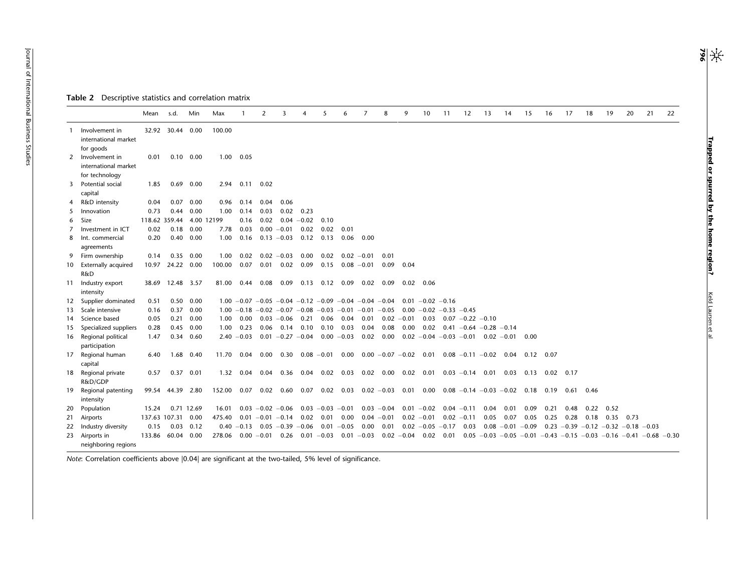|    |                                                          | Mean          | s.d.             | Min               | Max        |                                                                | 2              | 3                    |               | .5                   | 6             | 7             | 8                  | 9    | 10                          | 11   | 12                 | 13                                                                 | 14                   | 15   | 16          | 17                                   | 18   | 19   | 20   | 21 | 22 |
|----|----------------------------------------------------------|---------------|------------------|-------------------|------------|----------------------------------------------------------------|----------------|----------------------|---------------|----------------------|---------------|---------------|--------------------|------|-----------------------------|------|--------------------|--------------------------------------------------------------------|----------------------|------|-------------|--------------------------------------|------|------|------|----|----|
|    | 1 Involvement in<br>international market<br>for goods    |               | 32.92 30.44 0.00 |                   | 100.00     |                                                                |                |                      |               |                      |               |               |                    |      |                             |      |                    |                                                                    |                      |      |             |                                      |      |      |      |    |    |
| 2  | Involvement in<br>international market<br>for technology | 0.01          |                  | $0.10 \quad 0.00$ | 1.00       | 0.05                                                           |                |                      |               |                      |               |               |                    |      |                             |      |                    |                                                                    |                      |      |             |                                      |      |      |      |    |    |
| 3  | Potential social<br>capital                              | 1.85          | 0.69             | 0.00              | 2.94       | 0.11                                                           | 0.02           |                      |               |                      |               |               |                    |      |                             |      |                    |                                                                    |                      |      |             |                                      |      |      |      |    |    |
| 4  | R&D intensity                                            | 0.04          | 0.07             | 0.00              | 0.96       | 0.14                                                           | 0.04           | 0.06                 |               |                      |               |               |                    |      |                             |      |                    |                                                                    |                      |      |             |                                      |      |      |      |    |    |
| 5  | Innovation                                               | 0.73          | 0.44             | 0.00              | 1.00       | 0.14                                                           | 0.03           | 0.02                 | 0.23          |                      |               |               |                    |      |                             |      |                    |                                                                    |                      |      |             |                                      |      |      |      |    |    |
| 6  | Size                                                     | 118.62 359.44 |                  |                   | 4.00 12199 | 0.16                                                           | 0.02           |                      | $0.04 - 0.02$ | 0.10                 |               |               |                    |      |                             |      |                    |                                                                    |                      |      |             |                                      |      |      |      |    |    |
|    | Investment in ICT                                        | 0.02          | 0.18             | 0.00              | 7.78       | 0.03                                                           |                | $0.00 - 0.01$        | 0.02          | 0.02                 | 0.01          |               |                    |      |                             |      |                    |                                                                    |                      |      |             |                                      |      |      |      |    |    |
| 8  | Int. commercial<br>agreements                            | 0.20          | 0.40             | 0.00              | 1.00       | 0.16                                                           |                | $0.13 - 0.03$        | 0.12          | 0.13                 | 0.06          | 0.00          |                    |      |                             |      |                    |                                                                    |                      |      |             |                                      |      |      |      |    |    |
|    | 9 Firm ownership                                         | 0.14          | 0.35             | 0.00              | 1.00       | 0.02                                                           | 0.02           | $-0.03$              | 0.00          | 0.02                 |               | $0.02 - 0.01$ | 0.01               |      |                             |      |                    |                                                                    |                      |      |             |                                      |      |      |      |    |    |
|    | 10 Externally acquired<br>R&D                            |               | 10.97 24.22 0.00 |                   | 100.00     | 0.07                                                           | 0.01           | 0.02                 | 0.09          | 0.15                 |               | $0.08 - 0.01$ | 0.09               | 0.04 |                             |      |                    |                                                                    |                      |      |             |                                      |      |      |      |    |    |
|    | 11 Industry export<br>intensity                          | 38.69         | 12.48 3.57       |                   | 81.00      | 0.44                                                           | 0.08           | 0.09                 |               | $0.13$ $0.12$ $0.09$ |               | 0.02          | 0.09               | 0.02 | 0.06                        |      |                    |                                                                    |                      |      |             |                                      |      |      |      |    |    |
|    | 12 Supplier dominated                                    | 0.51          | 0.50             | 0.00              |            | $1.00 -0.07 -0.05 -0.04 -0.12 -0.09 -0.04 -0.04 -0.04$         |                |                      |               |                      |               |               |                    |      | $0.01 - 0.02 - 0.16$        |      |                    |                                                                    |                      |      |             |                                      |      |      |      |    |    |
|    | 13 Scale intensive                                       | 0.16          | 0.37             | 0.00              |            | $1.00 - 0.18 - 0.02 - 0.07 - 0.08 - 0.03 - 0.01 - 0.01 - 0.05$ |                |                      |               |                      |               |               |                    |      | $0.00 - 0.02 - 0.33 - 0.45$ |      |                    |                                                                    |                      |      |             |                                      |      |      |      |    |    |
| 14 | Science based                                            | 0.05          | 0.21             | 0.00              | 1.00       | 0.00                                                           |                | $0.03 - 0.06$        | 0.21          | 0.06                 | 0.04          | 0.01          | $0.02 - 0.01$      |      | 0.03                        |      | $0.07 -0.22 -0.10$ |                                                                    |                      |      |             |                                      |      |      |      |    |    |
| 15 | Specialized suppliers                                    | 0.28          | 0.45             | 0.00              | 1.00       | 0.23                                                           | 0.06           | 0.14                 | 0.10          | 0.10                 | 0.03          | 0.04          | 0.08               | 0.00 | 0.02                        |      |                    | $0.41 - 0.64 - 0.28 - 0.14$                                        |                      |      |             |                                      |      |      |      |    |    |
|    | 16 Regional political<br>participation                   | 1.47          | 0.34             | 0.60              |            | $2.40 - 0.03$                                                  |                | $0.01 - 0.27 - 0.04$ |               |                      | $0.00 - 0.03$ | 0.02          | 0.00               |      | $0.02 -0.04 -0.03 -0.01$    |      |                    |                                                                    | $0.02 - 0.01$        | 0.00 |             |                                      |      |      |      |    |    |
|    | 17 Regional human<br>capital                             | 6.40          | 1.68             | 0.40              | 11.70      | 0.04                                                           | 0.00           | 0.30                 |               | $0.08 - 0.01 0.00$   |               |               | $0.00 -0.07 -0.02$ |      | 0.01                        |      |                    | $0.08 - 0.11 - 0.02$                                               | 0.04                 |      | $0.12$ 0.07 |                                      |      |      |      |    |    |
|    | 18 Regional private<br>R&D/GDP                           | 0.57          | 0.37             | 0.01              | 1.32       | 0.04                                                           | 0.04           | 0.36                 | 0.04          |                      | $0.02$ 0.03   |               | $0.02$ 0.00        | 0.02 | 0.01                        |      | $0.03 -0.14$ 0.01  |                                                                    | 0.03                 | 0.13 |             | $0.02$ 0.17                          |      |      |      |    |    |
|    | 19 Regional patenting<br>intensity                       | 99.54         | 44.39            | 2.80              | 152.00     | 0.07                                                           | 0.02           | 0.60                 | 0.07          |                      | $0.02$ 0.03   |               | $0.02 - 0.03$ 0.01 |      | 0.00                        |      |                    | $0.08 - 0.14 - 0.03 - 0.02$ 0.18                                   |                      |      | 0.19        | 0.61                                 | 0.46 |      |      |    |    |
|    | 20 Population                                            | 15.24         |                  | 0.71 12.69        | 16.01      | 0.03                                                           | $-0.02 - 0.06$ |                      |               | $0.03 - 0.03 - 0.01$ |               |               | $0.03 - 0.04$      |      | $0.01 - 0.02$               |      | $0.04 - 0.11$      | 0.04                                                               | 0.01                 | 0.09 | 0.21        | 0.48                                 | 0.22 | 0.52 |      |    |    |
| 21 | Airports                                                 | 137.63 107.31 |                  | 0.00              | 475.40     | 0.01                                                           | $-0.01 - 0.14$ |                      | 0.02          | 0.01                 | 0.00          |               | $0.04 - 0.01$      |      | $0.02 - 0.01$               |      | $0.02 -0.11$       | 0.05                                                               | 0.07                 | 0.05 | 0.25        | 0.28                                 | 0.18 | 0.35 | 0.73 |    |    |
|    | 22 Industry diversity                                    | 0.15          | 0.03             | 0.12              |            | $0.40 - 0.13$                                                  |                | $0.05 -0.39 -0.06$   |               | $0.01 - 0.05$        |               | 0.00          | 0.01               |      | $0.02 -0.05 -0.17$          |      | 0.03               |                                                                    | $0.08 - 0.01 - 0.09$ |      |             | $0.23 -0.39 -0.12 -0.32 -0.18 -0.03$ |      |      |      |    |    |
|    | 23 Airports in                                           | 133.86        | 60.04            | 0.00              | 278.06     | 0.00                                                           | $-0.01$        | 0.26                 | 0.01          | $-0.03$              | 0.01          | $-0.03$       | $0.02 - 0.04$      |      | 0.02                        | 0.01 |                    | $0.05 -0.03 -0.05 -0.01 -0.43 -0.15 -0.03 -0.16 -0.41 -0.68 -0.30$ |                      |      |             |                                      |      |      |      |    |    |
|    | neighboring regions                                      |               |                  |                   |            |                                                                |                |                      |               |                      |               |               |                    |      |                             |      |                    |                                                                    |                      |      |             |                                      |      |      |      |    |    |

Note: Correlation coefficients above |0.04| are significant at the two-tailed, 5% level of significance.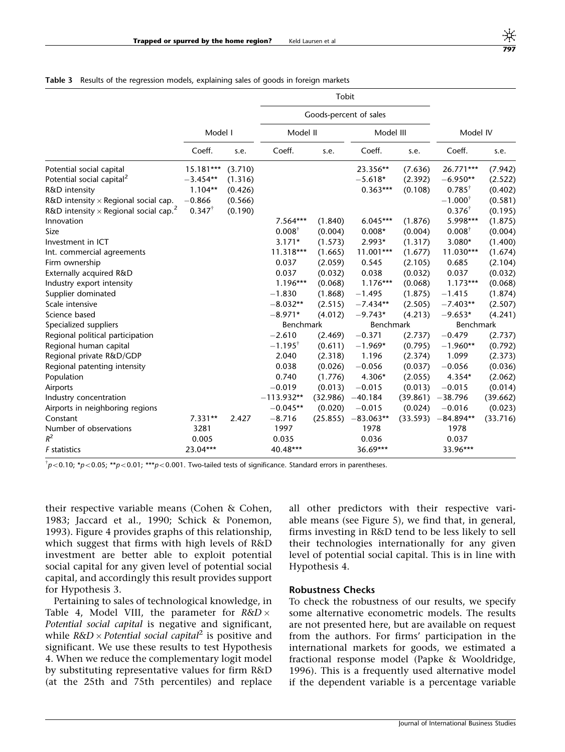|                                                          |                   |         |                    | Goods-percent of sales |             |          |                    |          |  |
|----------------------------------------------------------|-------------------|---------|--------------------|------------------------|-------------|----------|--------------------|----------|--|
|                                                          | Model I           |         | Model II           |                        | Model III   |          | Model IV           |          |  |
|                                                          | Coeff.            | s.e.    | Coeff.             | s.e.                   | Coeff.      | s.e.     | Coeff.             | s.e.     |  |
| Potential social capital                                 | 15.181***         | (3.710) |                    |                        | 23.356**    | (7.636)  | 26.771***          | (7.942)  |  |
| Potential social capital <sup>2</sup>                    | $-3.454**$        | (1.316) |                    |                        | $-5.618*$   | (2.392)  | $-6.950**$         | (2.522)  |  |
| R&D intensity                                            | $1.104**$         | (0.426) |                    |                        | $0.363***$  | (0.108)  | $0.785^{\dagger}$  | (0.402)  |  |
| R&D intensity $\times$ Regional social cap.              | $-0.866$          | (0.566) |                    |                        |             |          | $-1.000^{\dagger}$ | (0.581)  |  |
| R&D intensity $\times$ Regional social cap. <sup>2</sup> | $0.347^{\dagger}$ | (0.190) |                    |                        |             |          | $0.376^{\dagger}$  | (0.195)  |  |
| Innovation                                               |                   |         | 7.564***           | (1.840)                | $6.045***$  | (1.876)  | 5.998***           | (1.875)  |  |
| Size                                                     |                   |         | $0.008^+$          | (0.004)                | $0.008*$    | (0.004)  | $0.008^{\dagger}$  | (0.004)  |  |
| Investment in ICT                                        |                   |         | $3.171*$           | (1.573)                | 2.993*      | (1.317)  | 3.080*             | (1.400)  |  |
| Int. commercial agreements                               |                   |         | 11.318***          | (1.665)                | 11.001***   | (1.677)  | 11.030***          | (1.674)  |  |
| Firm ownership                                           |                   |         | 0.037              | (2.059)                | 0.545       | (2.105)  | 0.685              | (2.104)  |  |
| Externally acquired R&D                                  |                   |         | 0.037              | (0.032)                | 0.038       | (0.032)  | 0.037              | (0.032)  |  |
| Industry export intensity                                |                   |         | $1.196***$         | (0.068)                | $1.176***$  | (0.068)  | $1.173***$         | (0.068)  |  |
| Supplier dominated                                       |                   |         | $-1.830$           | (1.868)                | $-1.495$    | (1.875)  | $-1.415$           | (1.874)  |  |
| Scale intensive                                          |                   |         | $-8.032**$         | (2.515)                | $-7.434**$  | (2.505)  | $-7.403**$         | (2.507)  |  |
| Science based                                            |                   |         | $-8.971*$          | (4.012)                | $-9.743*$   | (4.213)  | $-9.653*$          | (4.241)  |  |
| Specialized suppliers                                    |                   |         | Benchmark          |                        | Benchmark   |          | <b>Benchmark</b>   |          |  |
| Regional political participation                         |                   |         | $-2.610$           | (2.469)                | $-0.371$    | (2.737)  | $-0.479$           | (2.737)  |  |
| Regional human capital                                   |                   |         | $-1.195^{\dagger}$ | (0.611)                | $-1.969*$   | (0.795)  | $-1.960**$         | (0.792)  |  |
| Regional private R&D/GDP                                 |                   |         | 2.040              | (2.318)                | 1.196       | (2.374)  | 1.099              | (2.373)  |  |
| Regional patenting intensity                             |                   |         | 0.038              | (0.026)                | $-0.056$    | (0.037)  | $-0.056$           | (0.036)  |  |
| Population                                               |                   |         | 0.740              | (1.776)                | 4.306*      | (2.055)  | $4.354*$           | (2.062)  |  |
| Airports                                                 |                   |         | $-0.019$           | (0.013)                | $-0.015$    | (0.013)  | $-0.015$           | (0.014)  |  |
| Industry concentration                                   |                   |         | $-113.932**$       | (32.986)               | $-40.184$   | (39.861) | $-38.796$          | (39.662) |  |
| Airports in neighboring regions                          |                   |         | $-0.045**$         | (0.020)                | $-0.015$    | (0.024)  | $-0.016$           | (0.023)  |  |
| Constant                                                 | $7.331**$         | 2.427   | $-8.716$           | (25.855)               | $-83.063**$ | (33.593) | $-84.894**$        | (33.716) |  |
| Number of observations                                   | 3281              |         | 1997               |                        | 1978        |          | 1978               |          |  |
| $R^2$                                                    | 0.005             |         | 0.035              |                        | 0.036       |          | 0.037              |          |  |
| <b>F</b> statistics                                      | 23.04***          |         | 40.48***           |                        | 36.69***    |          | 33.96***           |          |  |

Table 3 Results of the regression models, explaining sales of goods in foreign markets

 $\sigma^{\nu_{p}}$  = 0.10; \*p $<$  0.05; \*\*p $<$  0.01; \*\*\*p $<$  0.001. Two-tailed tests of significance. Standard errors in parentheses.

their respective variable means (Cohen & Cohen, 1983; Jaccard et al., 1990; Schick & Ponemon, 1993). Figure 4 provides graphs of this relationship, which suggest that firms with high levels of R&D investment are better able to exploit potential social capital for any given level of potential social capital, and accordingly this result provides support for Hypothesis 3.

Pertaining to sales of technological knowledge, in Table 4, Model VIII, the parameter for  $R\&D \times$ Potential social capital is negative and significant, while  $R\&D \times Potential$  social capital<sup>2</sup> is positive and significant. We use these results to test Hypothesis 4. When we reduce the complementary logit model by substituting representative values for firm R&D (at the 25th and 75th percentiles) and replace all other predictors with their respective variable means (see Figure 5), we find that, in general, firms investing in R&D tend to be less likely to sell their technologies internationally for any given level of potential social capital. This is in line with Hypothesis 4.

#### Robustness Checks

To check the robustness of our results, we specify some alternative econometric models. The results are not presented here, but are available on request from the authors. For firms' participation in the international markets for goods, we estimated a fractional response model (Papke & Wooldridge, 1996). This is a frequently used alternative model if the dependent variable is a percentage variable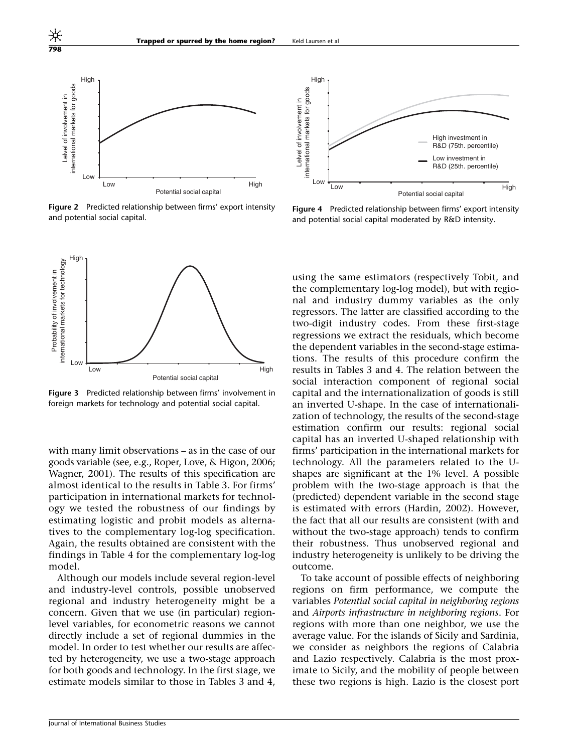

798

Figure 2 Predicted relationship between firms' export intensity and potential social capital.



Figure 3 Predicted relationship between firms' involvement in

with many limit observations – as in the case of our goods variable (see, e.g., Roper, Love, & Higon, 2006; Wagner, 2001). The results of this specification are almost identical to the results in Table 3. For firms' participation in international markets for technology we tested the robustness of our findings by estimating logistic and probit models as alternatives to the complementary log-log specification. Again, the results obtained are consistent with the findings in Table 4 for the complementary log-log model.

Although our models include several region-level and industry-level controls, possible unobserved regional and industry heterogeneity might be a concern. Given that we use (in particular) regionlevel variables, for econometric reasons we cannot directly include a set of regional dummies in the model. In order to test whether our results are affected by heterogeneity, we use a two-stage approach for both goods and technology. In the first stage, we estimate models similar to those in Tables 3 and 4,



Figure 4 Predicted relationship between firms' export intensity and potential social capital moderated by R&D intensity.

using the same estimators (respectively Tobit, and the complementary log-log model), but with regional and industry dummy variables as the only regressors. The latter are classified according to the two-digit industry codes. From these first-stage regressions we extract the residuals, which become the dependent variables in the second-stage estimations. The results of this procedure confirm the results in Tables 3 and 4. The relation between the social interaction component of regional social capital and the internationalization of goods is still an inverted U-shape. In the case of internationalization of technology, the results of the second-stage estimation confirm our results: regional social capital has an inverted U-shaped relationship with firms' participation in the international markets for technology. All the parameters related to the Ushapes are significant at the 1% level. A possible problem with the two-stage approach is that the (predicted) dependent variable in the second stage is estimated with errors (Hardin, 2002). However, the fact that all our results are consistent (with and without the two-stage approach) tends to confirm their robustness. Thus unobserved regional and industry heterogeneity is unlikely to be driving the outcome.

To take account of possible effects of neighboring regions on firm performance, we compute the variables Potential social capital in neighboring regions and Airports infrastructure in neighboring regions. For regions with more than one neighbor, we use the average value. For the islands of Sicily and Sardinia, we consider as neighbors the regions of Calabria and Lazio respectively. Calabria is the most proximate to Sicily, and the mobility of people between these two regions is high. Lazio is the closest port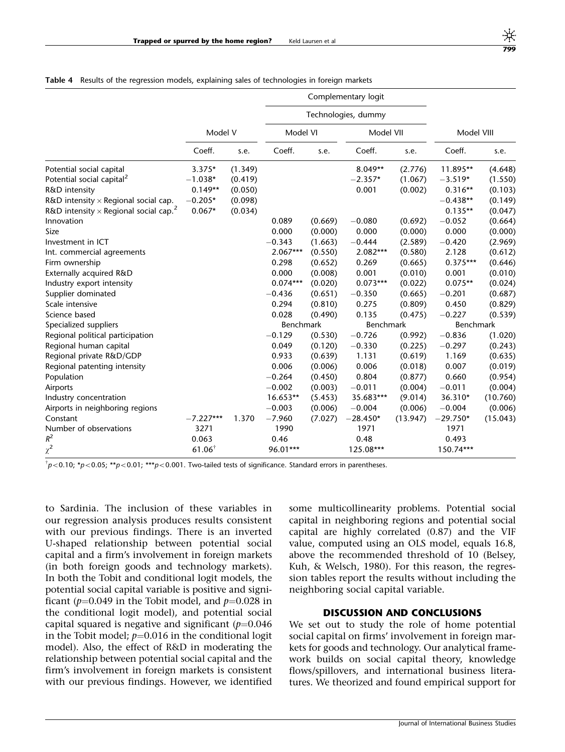|                                                          |                   |         |                  |         | Complementary logit |          |                  |          |  |
|----------------------------------------------------------|-------------------|---------|------------------|---------|---------------------|----------|------------------|----------|--|
|                                                          |                   |         |                  |         | Technologies, dummy |          |                  |          |  |
|                                                          | Model V           |         | Model VI         |         | Model VII           |          | Model VIII       |          |  |
|                                                          | Coeff.            | s.e.    | Coeff.           | s.e.    | Coeff.              | s.e.     | Coeff.           | s.e.     |  |
| Potential social capital                                 | $3.375*$          | (1.349) |                  |         | $8.049**$           | (2.776)  | 11.895**         | (4.648)  |  |
| Potential social capital <sup>2</sup>                    | $-1.038*$         | (0.419) |                  |         | $-2.357*$           | (1.067)  | $-3.519*$        | (1.550)  |  |
| R&D intensity                                            | $0.149**$         | (0.050) |                  |         | 0.001               | (0.002)  | $0.316**$        | (0.103)  |  |
| $R&D$ intensity $\times$ Regional social cap.            | $-0.205*$         | (0.098) |                  |         |                     |          | $-0.438**$       | (0.149)  |  |
| R&D intensity $\times$ Regional social cap. <sup>2</sup> | $0.067*$          | (0.034) |                  |         |                     |          | $0.135**$        | (0.047)  |  |
| Innovation                                               |                   |         | 0.089            | (0.669) | $-0.080$            | (0.692)  | $-0.052$         | (0.664)  |  |
| Size                                                     |                   |         | 0.000            | (0.000) | 0.000               | (0.000)  | 0.000            | (0.000)  |  |
| Investment in ICT                                        |                   |         | $-0.343$         | (1.663) | $-0.444$            | (2.589)  | $-0.420$         | (2.969)  |  |
| Int. commercial agreements                               |                   |         | 2.067***         | (0.550) | 2.082***            | (0.580)  | 2.128            | (0.612)  |  |
| Firm ownership                                           |                   |         | 0.298            | (0.652) | 0.269               | (0.665)  | $0.375***$       | (0.646)  |  |
| Externally acquired R&D                                  |                   |         | 0.000            | (0.008) | 0.001               | (0.010)  | 0.001            | (0.010)  |  |
| Industry export intensity                                |                   |         | $0.074***$       | (0.020) | $0.073***$          | (0.022)  | $0.075**$        | (0.024)  |  |
| Supplier dominated                                       |                   |         | $-0.436$         | (0.651) | $-0.350$            | (0.665)  | $-0.201$         | (0.687)  |  |
| Scale intensive                                          |                   |         | 0.294            | (0.810) | 0.275               | (0.809)  | 0.450            | (0.829)  |  |
| Science based                                            |                   |         | 0.028            | (0.490) | 0.135               | (0.475)  | $-0.227$         | (0.539)  |  |
| Specialized suppliers                                    |                   |         | <b>Benchmark</b> |         | <b>Benchmark</b>    |          | <b>Benchmark</b> |          |  |
| Regional political participation                         |                   |         | $-0.129$         | (0.530) | $-0.726$            | (0.992)  | $-0.836$         | (1.020)  |  |
| Regional human capital                                   |                   |         | 0.049            | (0.120) | $-0.330$            | (0.225)  | $-0.297$         | (0.243)  |  |
| Regional private R&D/GDP                                 |                   |         | 0.933            | (0.639) | 1.131               | (0.619)  | 1.169            | (0.635)  |  |
| Regional patenting intensity                             |                   |         | 0.006            | (0.006) | 0.006               | (0.018)  | 0.007            | (0.019)  |  |
| Population                                               |                   |         | $-0.264$         | (0.450) | 0.804               | (0.877)  | 0.660            | (0.954)  |  |
| Airports                                                 |                   |         | $-0.002$         | (0.003) | $-0.011$            | (0.004)  | $-0.011$         | (0.004)  |  |
| Industry concentration                                   |                   |         | 16.653**         | (5.453) | 35.683***           | (9.014)  | 36.310*          | (10.760) |  |
| Airports in neighboring regions                          |                   |         | $-0.003$         | (0.006) | $-0.004$            | (0.006)  | $-0.004$         | (0.006)  |  |
| Constant                                                 | $-7.227***$       | 1.370   | $-7.960$         | (7.027) | $-28.450*$          | (13.947) | $-29.750*$       | (15.043) |  |
| Number of observations                                   | 3271              |         | 1990             |         | 1971                |          | 1971             |          |  |
| $R^2$                                                    | 0.063             |         | 0.46             |         | 0.48                |          | 0.493            |          |  |
| $\chi^2$                                                 | $61.06^{\dagger}$ |         | 96.01***         |         | 125.08***           |          | 150.74***        |          |  |

#### Table 4 Results of the regression models, explaining sales of technologies in foreign markets

 $\sigma^{\nu_{p}}$  = 0.10; \*p $<$  0.05; \*\*p $<$  0.01; \*\*\*p $<$  0.001. Two-tailed tests of significance. Standard errors in parentheses.

to Sardinia. The inclusion of these variables in our regression analysis produces results consistent with our previous findings. There is an inverted U-shaped relationship between potential social capital and a firm's involvement in foreign markets (in both foreign goods and technology markets). In both the Tobit and conditional logit models, the potential social capital variable is positive and significant ( $p=0.049$  in the Tobit model, and  $p=0.028$  in the conditional logit model), and potential social capital squared is negative and significant  $(p=0.046$ in the Tobit model;  $p=0.016$  in the conditional logit model). Also, the effect of R&D in moderating the relationship between potential social capital and the firm's involvement in foreign markets is consistent with our previous findings. However, we identified some multicollinearity problems. Potential social capital in neighboring regions and potential social capital are highly correlated (0.87) and the VIF value, computed using an OLS model, equals 16.8, above the recommended threshold of 10 (Belsey, Kuh, & Welsch, 1980). For this reason, the regression tables report the results without including the neighboring social capital variable.

# DISCUSSION AND CONCLUSIONS

We set out to study the role of home potential social capital on firms' involvement in foreign markets for goods and technology. Our analytical framework builds on social capital theory, knowledge flows/spillovers, and international business literatures. We theorized and found empirical support for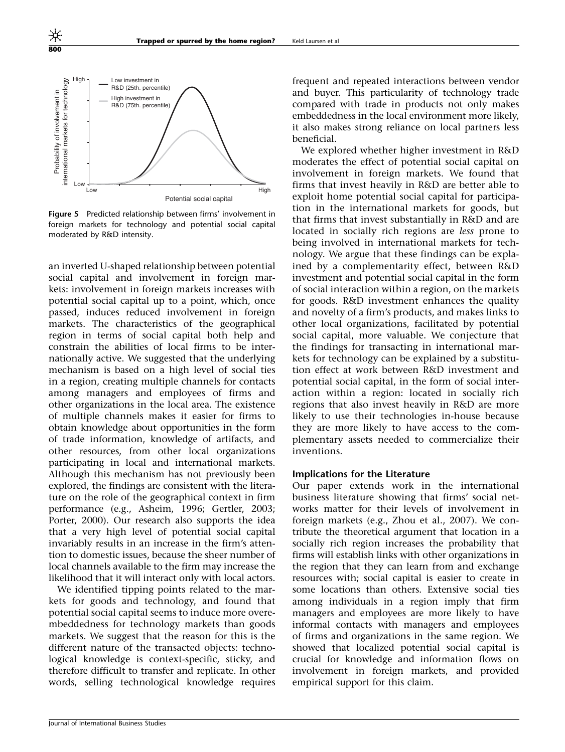

Figure 5 Predicted relationship between firms' involvement in foreign markets for technology and potential social capital moderated by R&D intensity.

an inverted U-shaped relationship between potential social capital and involvement in foreign markets: involvement in foreign markets increases with potential social capital up to a point, which, once passed, induces reduced involvement in foreign markets. The characteristics of the geographical region in terms of social capital both help and constrain the abilities of local firms to be internationally active. We suggested that the underlying mechanism is based on a high level of social ties in a region, creating multiple channels for contacts among managers and employees of firms and other organizations in the local area. The existence of multiple channels makes it easier for firms to obtain knowledge about opportunities in the form of trade information, knowledge of artifacts, and other resources, from other local organizations participating in local and international markets. Although this mechanism has not previously been explored, the findings are consistent with the literature on the role of the geographical context in firm performance (e.g., Asheim, 1996; Gertler, 2003; Porter, 2000). Our research also supports the idea that a very high level of potential social capital invariably results in an increase in the firm's attention to domestic issues, because the sheer number of local channels available to the firm may increase the likelihood that it will interact only with local actors.

We identified tipping points related to the markets for goods and technology, and found that potential social capital seems to induce more overembeddedness for technology markets than goods markets. We suggest that the reason for this is the different nature of the transacted objects: technological knowledge is context-specific, sticky, and therefore difficult to transfer and replicate. In other words, selling technological knowledge requires frequent and repeated interactions between vendor and buyer. This particularity of technology trade compared with trade in products not only makes embeddedness in the local environment more likely, it also makes strong reliance on local partners less beneficial.

We explored whether higher investment in R&D moderates the effect of potential social capital on involvement in foreign markets. We found that firms that invest heavily in R&D are better able to exploit home potential social capital for participation in the international markets for goods, but that firms that invest substantially in R&D and are located in socially rich regions are less prone to being involved in international markets for technology. We argue that these findings can be explained by a complementarity effect, between R&D investment and potential social capital in the form of social interaction within a region, on the markets for goods. R&D investment enhances the quality and novelty of a firm's products, and makes links to other local organizations, facilitated by potential social capital, more valuable. We conjecture that the findings for transacting in international markets for technology can be explained by a substitution effect at work between R&D investment and potential social capital, in the form of social interaction within a region: located in socially rich regions that also invest heavily in R&D are more likely to use their technologies in-house because they are more likely to have access to the complementary assets needed to commercialize their inventions.

#### Implications for the Literature

Our paper extends work in the international business literature showing that firms' social networks matter for their levels of involvement in foreign markets (e.g., Zhou et al., 2007). We contribute the theoretical argument that location in a socially rich region increases the probability that firms will establish links with other organizations in the region that they can learn from and exchange resources with; social capital is easier to create in some locations than others. Extensive social ties among individuals in a region imply that firm managers and employees are more likely to have informal contacts with managers and employees of firms and organizations in the same region. We showed that localized potential social capital is crucial for knowledge and information flows on involvement in foreign markets, and provided empirical support for this claim.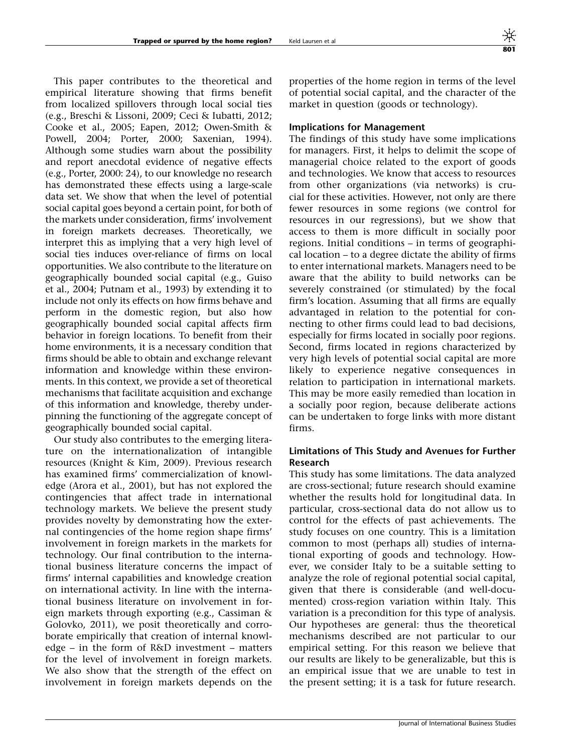This paper contributes to the theoretical and empirical literature showing that firms benefit from localized spillovers through local social ties (e.g., Breschi & Lissoni, 2009; Ceci & Iubatti, 2012; Cooke et al., 2005; Eapen, 2012; Owen-Smith & Powell, 2004; Porter, 2000; Saxenian, 1994). Although some studies warn about the possibility and report anecdotal evidence of negative effects (e.g., Porter, 2000: 24), to our knowledge no research has demonstrated these effects using a large-scale data set. We show that when the level of potential social capital goes beyond a certain point, for both of the markets under consideration, firms' involvement in foreign markets decreases. Theoretically, we interpret this as implying that a very high level of social ties induces over-reliance of firms on local opportunities. We also contribute to the literature on geographically bounded social capital (e.g., Guiso et al., 2004; Putnam et al., 1993) by extending it to include not only its effects on how firms behave and perform in the domestic region, but also how geographically bounded social capital affects firm behavior in foreign locations. To benefit from their home environments, it is a necessary condition that firms should be able to obtain and exchange relevant information and knowledge within these environments. In this context, we provide a set of theoretical mechanisms that facilitate acquisition and exchange of this information and knowledge, thereby underpinning the functioning of the aggregate concept of geographically bounded social capital.

Our study also contributes to the emerging literature on the internationalization of intangible resources (Knight & Kim, 2009). Previous research has examined firms' commercialization of knowledge (Arora et al., 2001), but has not explored the contingencies that affect trade in international technology markets. We believe the present study provides novelty by demonstrating how the external contingencies of the home region shape firms' involvement in foreign markets in the markets for technology. Our final contribution to the international business literature concerns the impact of firms' internal capabilities and knowledge creation on international activity. In line with the international business literature on involvement in foreign markets through exporting (e.g., Cassiman & Golovko, 2011), we posit theoretically and corroborate empirically that creation of internal knowledge – in the form of R&D investment – matters for the level of involvement in foreign markets. We also show that the strength of the effect on involvement in foreign markets depends on the properties of the home region in terms of the level of potential social capital, and the character of the market in question (goods or technology).

# Implications for Management

The findings of this study have some implications for managers. First, it helps to delimit the scope of managerial choice related to the export of goods and technologies. We know that access to resources from other organizations (via networks) is crucial for these activities. However, not only are there fewer resources in some regions (we control for resources in our regressions), but we show that access to them is more difficult in socially poor regions. Initial conditions – in terms of geographical location – to a degree dictate the ability of firms to enter international markets. Managers need to be aware that the ability to build networks can be severely constrained (or stimulated) by the focal firm's location. Assuming that all firms are equally advantaged in relation to the potential for connecting to other firms could lead to bad decisions, especially for firms located in socially poor regions. Second, firms located in regions characterized by very high levels of potential social capital are more likely to experience negative consequences in relation to participation in international markets. This may be more easily remedied than location in a socially poor region, because deliberate actions can be undertaken to forge links with more distant firms.

# Limitations of This Study and Avenues for Further Research

This study has some limitations. The data analyzed are cross-sectional; future research should examine whether the results hold for longitudinal data. In particular, cross-sectional data do not allow us to control for the effects of past achievements. The study focuses on one country. This is a limitation common to most (perhaps all) studies of international exporting of goods and technology. However, we consider Italy to be a suitable setting to analyze the role of regional potential social capital, given that there is considerable (and well-documented) cross-region variation within Italy. This variation is a precondition for this type of analysis. Our hypotheses are general: thus the theoretical mechanisms described are not particular to our empirical setting. For this reason we believe that our results are likely to be generalizable, but this is an empirical issue that we are unable to test in the present setting; it is a task for future research.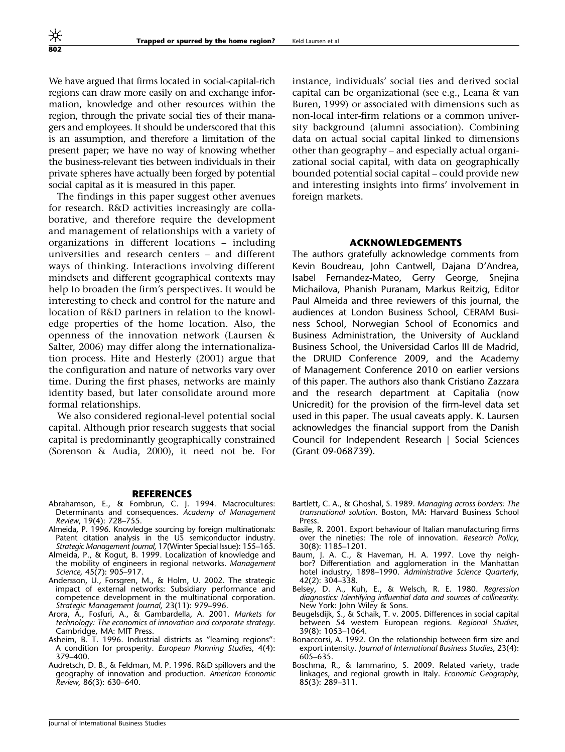We have argued that firms located in social-capital-rich regions can draw more easily on and exchange information, knowledge and other resources within the region, through the private social ties of their managers and employees. It should be underscored that this is an assumption, and therefore a limitation of the present paper; we have no way of knowing whether the business-relevant ties between individuals in their private spheres have actually been forged by potential social capital as it is measured in this paper.

The findings in this paper suggest other avenues for research. R&D activities increasingly are collaborative, and therefore require the development and management of relationships with a variety of organizations in different locations – including universities and research centers – and different ways of thinking. Interactions involving different mindsets and different geographical contexts may help to broaden the firm's perspectives. It would be interesting to check and control for the nature and location of R&D partners in relation to the knowledge properties of the home location. Also, the openness of the innovation network (Laursen & Salter, 2006) may differ along the internationalization process. Hite and Hesterly (2001) argue that the configuration and nature of networks vary over time. During the first phases, networks are mainly identity based, but later consolidate around more formal relationships.

We also considered regional-level potential social capital. Although prior research suggests that social capital is predominantly geographically constrained (Sorenson & Audia, 2000), it need not be. For

# instance, individuals' social ties and derived social capital can be organizational (see e.g., Leana & van Buren, 1999) or associated with dimensions such as non-local inter-firm relations or a common university background (alumni association). Combining data on actual social capital linked to dimensions other than geography – and especially actual organizational social capital, with data on geographically bounded potential social capital – could provide new and interesting insights into firms' involvement in foreign markets.

#### ACKNOWLEDGEMENTS

The authors gratefully acknowledge comments from Kevin Boudreau, John Cantwell, Dajana D'Andrea, Isabel Fernandez-Mateo, Gerry George, Snejina Michailova, Phanish Puranam, Markus Reitzig, Editor Paul Almeida and three reviewers of this journal, the audiences at London Business School, CERAM Business School, Norwegian School of Economics and Business Administration, the University of Auckland Business School, the Universidad Carlos III de Madrid, the DRUID Conference 2009, and the Academy of Management Conference 2010 on earlier versions of this paper. The authors also thank Cristiano Zazzara and the research department at Capitalia (now Unicredit) for the provision of the firm-level data set used in this paper. The usual caveats apply. K. Laursen acknowledges the financial support from the Danish Council for Independent Research | Social Sciences (Grant 09-068739).

#### **REFERENCES**

- Abrahamson, E., & Fombrun, C. J. 1994. Macrocultures: Determinants and consequences. Academy of Management Review, 19(4): 728–755.
- Almeida, P. 1996. Knowledge sourcing by foreign multinationals: Patent citation analysis in the US semiconductor industry. Strategic Management Journal, 17 (Winter Special Issue): 155-165.
- Almeida, P., & Kogut, B. 1999. Localization of knowledge and the mobility of engineers in regional networks. Management Science, 45(7): 905–917.
- Andersson, U., Forsgren, M., & Holm, U. 2002. The strategic impact of external networks: Subsidiary performance and competence development in the multinational corporation. Strategic Management Journal, 23(11): 979–996.
- Arora, A., Fosfuri, A., & Gambardella, A. 2001. Markets for technology: The economics of innovation and corporate strategy. Cambridge, MA: MIT Press.
- Asheim, B. T. 1996. Industrial districts as "learning regions": A condition for prosperity. European Planning Studies, 4(4): 379–400.
- Audretsch, D. B., & Feldman, M. P. 1996. R&D spillovers and the geography of innovation and production. American Economic Review, 86(3): 630–640.
- Bartlett, C. A., & Ghoshal, S. 1989. Managing across borders: The transnational solution. Boston, MA: Harvard Business School Press.
- Basile, R. 2001. Export behaviour of Italian manufacturing firms over the nineties: The role of innovation. Research Policy, 30(8): 1185–1201.
- Baum, J. A. C., & Haveman, H. A. 1997. Love thy neighbor? Differentiation and agglomeration in the Manhattan hotel industry, 1898-1990. Administrative Science Quarterly, 42(2): 304–338.
- Belsey, D. A., Kuh, E., & Welsch, R. E. 1980. Regression diagnostics: Identifying influential data and sources of collinearity. New York: John Wiley & Sons.
- Beugelsdijk, S., & Schaik, T. v. 2005. Differences in social capital between 54 western European regions. Regional Studies, 39(8): 1053–1064.
- Bonaccorsi, A. 1992. On the relationship between firm size and export intensity. Journal of International Business Studies, 23(4): 605–635.
- Boschma, R., & Iammarino, S. 2009. Related variety, trade linkages, and regional growth in Italy. Economic Geography, 85(3): 289–311.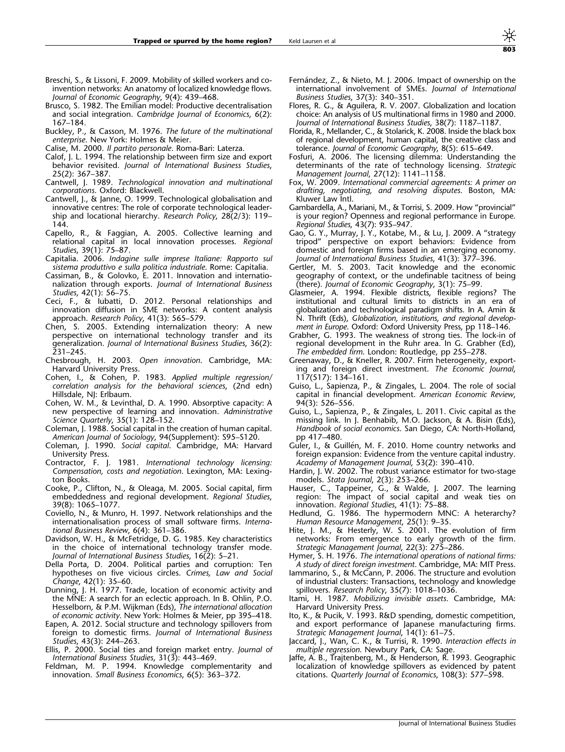- Breschi, S., & Lissoni, F. 2009. Mobility of skilled workers and coinvention networks: An anatomy of localized knowledge flows. Journal of Economic Geography, 9(4): 439–468.
- Brusco, S. 1982. The Emilian model: Productive decentralisation and social integration. Cambridge Journal of Economics, 6(2): 167–184.
- Buckley, P., & Casson, M. 1976. The future of the multinational enterprise. New York: Holmes & Meier.
- Calise, M. 2000. Il partito personale. Roma-Bari: Laterza.
- Calof, J. L. 1994. The relationship between firm size and export behavior revisited. Journal of International Business Studies, 25(2): 367–387.
- Cantwell, J. 1989. Technological innovation and multinational corporations. Oxford: Blackwell.
- Cantwell, J., & Janne, O. 1999. Technological globalisation and innovative centres: The role of corporate technological leadership and locational hierarchy. Research Policy, 28(2/3): 119– 144.
- Capello, R., & Faggian, A. 2005. Collective learning and relational capital in local innovation processes. Regional Studies, 39(1): 75–87.
- Capitalia. 2006. Indagine sulle imprese Italiane: Rapporto sul sistema produttivo e sulla politica industriale. Rome: Capitalia.
- Cassiman, B., & Golovko, E. 2011. Innovation and internationalization through exports. Journal of International Business Studies, 42(1): 56–75.
- Ceci, F., & Iubatti, D. 2012. Personal relationships and innovation diffusion in SME networks: A content analysis approach. Research Policy, 41(3): 565–579.
- Chen, S. 2005. Extending internalization theory: A new perspective on international technology transfer and its generalization. Journal of International Business Studies, 36(2): 231–245.
- Chesbrough, H. 2003. Open innovation. Cambridge, MA: Harvard University Press.
- Cohen, I., & Cohen, P. 1983. Applied multiple regression/ correlation analysis for the behavioral sciences, (2nd edn) Hillsdale, NJ: Erlbaum.
- Cohen, W. M., & Levinthal, D. A. 1990. Absorptive capacity: A new perspective of learning and innovation. Administrative Science Quarterly, 35(1): 128–152.
- Coleman, J. 1988. Social capital in the creation of human capital. American Journal of Sociology, 94(Supplement): S95–S120.
- Coleman, J. 1990. Social capital. Cambridge, MA: Harvard University Press.
- Contractor, F. J. 1981. International technology licensing: Compensation, costs and negotiation. Lexington, MA: Lexington Books.
- Cooke, P., Clifton, N., & Oleaga, M. 2005. Social capital, firm embeddedness and regional development. Regional Studies, 39(8): 1065–1077.
- Coviello, N., & Munro, H. 1997. Network relationships and the internationalisation process of small software firms. International Business Review, 6(4): 361–386.
- Davidson, W. H., & McFetridge, D. G. 1985. Key characteristics in the choice of international technology transfer mode. Journal of International Business Studies, 16(2): 5–21.
- Della Porta, D. 2004. Political parties and corruption: Ten hypotheses on five vicious circles. Crimes, Law and Social Change, 42(1): 35–60.
- Dunning, J. H. 1977. Trade, location of economic activity and the MNE: A search for an eclectic approach. In B. Ohlin, P.O. Hesselborn, & P.M. Wijkman (Eds), The international allocation of economic activity. New York: Holmes & Meier, pp 395–418.
- Eapen, A. 2012. Social structure and technology spillovers from foreign to domestic firms. Journal of International Business Studies, 43(3): 244–263.
- Ellis, P. 2000. Social ties and foreign market entry. Journal of International Business Studies, 31(3): 443–469.
- Feldman, M. P. 1994. Knowledge complementarity and innovation. Small Business Economics, 6(5): 363–372.
- Fernández, Z., & Nieto, M. J. 2006. Impact of ownership on the international involvement of SMEs. Journal of International Business Studies, 37(3): 340–351.
- Flores, R. G., & Aguilera, R. V. 2007. Globalization and location choice: An analysis of US multinational firms in 1980 and 2000. Journal of International Business Studies, 38(7): 1187–1187.
- Florida, R., Mellander, C., & Stolarick, K. 2008. Inside the black box of regional development, human capital, the creative class and tolerance. Journal of Economic Geography, 8(5): 615–649.
- Fosfuri, A. 2006. The licensing dilemma: Understanding the determinants of the rate of technology licensing. Strategic Management Journal, 27(12): 1141–1158.
- Fox, W. 2009. International commercial agreements: A primer on drafting, negotiating, and resolving disputes. Boston, MA: Kluwer Law Intl.
- Gambardella, A., Mariani, M., & Torrisi, S. 2009. How "provincial" is your region? Openness and regional performance in Europe. Regional Studies, 43(7): 935–947.
- Gao, G. Y., Murray, J. Y., Kotabe, M., & Lu, J. 2009. A "strategy tripod" perspective on export behaviors: Evidence from domestic and foreign firms based in an emerging economy. Journal of International Business Studies, 41(3): 377–396.
- Gertler, M. S. 2003. Tacit knowledge and the economic geography of context, or the undefinable tacitness of being (there). Journal of Economic Geography, 3(1): 75–99.
- Glasmeier, A. 1994. Flexible districts, flexible regions? The institutional and cultural limits to districts in an era of globalization and technological paradigm shifts. In A. Amin & N. Thrift (Eds), Globalization, institutions, and regional development in Europe. Oxford: Oxford University Press, pp 118–146.
- Grabher, G. 1993. The weakness of strong ties. The lock-in of regional development in the Ruhr area. In G. Grabher (Ed), The embedded firm. London: Routledge, pp 255–278.
- Greenaway, D., & Kneller, R. 2007. Firm heterogeneity, exporting and foreign direct investment. The Economic Journal, 117(517): 134–161.
- Guiso, L., Sapienza, P., & Zingales, L. 2004. The role of social capital in financial development. American Economic Review, 94(3): 526–556.
- Guiso, L., Sapienza, P., & Zingales, L. 2011. Civic capital as the missing link. In J. Benhabib, M.O. Jackson, & A. Bisin (Eds), Handbook of social economics. San Diego, CA: North-Holland, pp 417–480.
- Guler, I., & Guillén, M. F. 2010. Home country networks and foreign expansion: Evidence from the venture capital industry. Academy of Management Journal, 53(2): 390–410.
- Hardin, J. W. 2002. The robust variance estimator for two-stage models. Stata Journal, 2(3): 253–266.
- Hauser, C., Tappeiner, G., & Walde, J. 2007. The learning region: The impact of social capital and weak ties on innovation. Regional Studies, 41(1): 75–88.
- Hedlund, G. 1986. The hypermodern MNC: A heterarchy? Human Resource Management, 25(1): 9–35.
- Hite, J. M., & Hesterly, W. S. 2001. The evolution of firm networks: From emergence to early growth of the firm. Strategic Management Journal, 22(3): 275–286.
- Hymer, S. H. 1976. The international operations of national firms: A study of direct foreign investment. Cambridge, MA: MIT Press.
- Iammarino, S., & McCann, P. 2006. The structure and evolution of industrial clusters: Transactions, technology and knowledge spillovers. Research Policy, 35(7): 1018–1036.
- Itami, H. 1987. Mobilizing invisible assets. Cambridge, MA: Harvard University Press.
- Ito, K., & Pucik, V. 1993. R&D spending, domestic competition, and export performance of Japanese manufacturing firms. Strategic Management Journal, 14(1): 61–75.
- Jaccard, J., Wan, C. K., & Turrisi, R. 1990. Interaction effects in multiple regression. Newbury Park, CA: Sage.
- Jaffe, A. B., Trajtenberg, M., & Henderson, R. 1993. Geographic localization of knowledge spillovers as evidenced by patent citations. Quarterly Journal of Economics, 108(3): 577–598.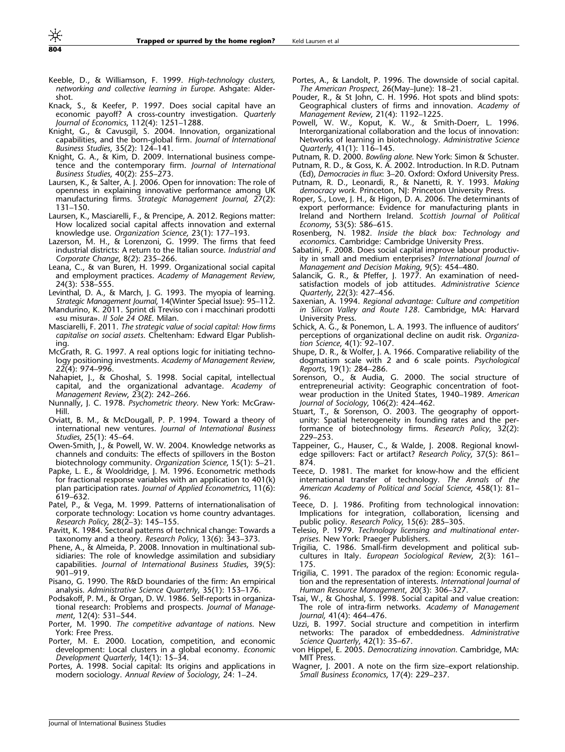- Keeble, D., & Williamson, F. 1999. High-technology clusters, networking and collective learning in Europe. Ashgate: Aldershot.
- Knack, S., & Keefer, P. 1997. Does social capital have an economic payoff? A cross-country investigation. Quarterly Journal of Economics, 112(4): 1251–1288.
- Knight, G., & Cavusgil, S. 2004. Innovation, organizational capabilities, and the born-global firm. Journal of International Business Studies, 35(2): 124–141.
- Knight, G. A., & Kim, D. 2009. International business competence and the contemporary firm. Journal of International Business Studies, 40(2): 255–273.
- Laursen, K., & Salter, A. J. 2006. Open for innovation: The role of openness in explaining innovative performance among UK manufacturing firms. Strategic Management Journal, 27(2): 131–150.
- Laursen, K., Masciarelli, F., & Prencipe, A. 2012. Regions matter: How localized social capital affects innovation and external knowledge use. Organization Science, 23(1): 177–193.
- Lazerson, M. H., & Lorenzoni, G. 1999. The firms that feed industrial districts: A return to the Italian source. Industrial and Corporate Change, 8(2): 235–266.
- Leana, C., & van Buren, H. 1999. Organizational social capital and employment practices. Academy of Management Review, 24(3): 538–555.
- Levinthal, D. A., & March, J. G. 1993. The myopia of learning. Strategic Management Journal, 14(Winter Special Issue): 95-112.
- Mandurino, K. 2011. Sprint di Treviso con i macchinari prodotti «su misura». Il Sole 24 ORE. Milan.
- Masciarelli, F. 2011. The strategic value of social capital: How firms capitalise on social assets. Cheltenham: Edward Elgar Publishing.
- McGrath, R. G. 1997. A real options logic for initiating technology positioning investments. Academy of Management Review, 22(4): 974–996.
- Nahapiet, J., & Ghoshal, S. 1998. Social capital, intellectual capital, and the organizational advantage. Academy of Management Review, 23(2): 242–266.
- Nunnally, J. C. 1978. Psychometric theory. New York: McGraw-Hill.
- Oviatt, B. M., & McDougall, P. P. 1994. Toward a theory of international new ventures. Journal of International Business Studies, 25(1): 45–64.
- Owen-Smith, J., & Powell, W. W. 2004. Knowledge networks as channels and conduits: The effects of spillovers in the Boston biotechnology community. Organization Science, 15(1): 5–21.
- Papke, L. E., & Wooldridge, J. M. 1996. Econometric methods for fractional response variables with an application to 401(k) plan participation rates. Journal of Applied Econometrics, 11(6): 619–632.
- Patel, P., & Vega, M. 1999. Patterns of internationalisation of corporate technology: Location vs home country advantages. Research Policy, 28(2–3): 145–155.
- Pavitt, K. 1984. Sectoral patterns of technical change: Towards a taxonomy and a theory. Research Policy, 13(6): 343–373.
- Phene, A., & Almeida, P. 2008. Innovation in multinational subsidiaries: The role of knowledge assimilation and subsidiary capabilities. Journal of International Business Studies, 39(5): 901–919.
- Pisano, G. 1990. The R&D boundaries of the firm: An empirical analysis. Administrative Science Quarterly, 35(1): 153–176.
- Podsakoff, P. M., & Organ, D. W. 1986. Self-reports in organizational research: Problems and prospects. Journal of Management, 12(4): 531–544.
- Porter, M. 1990. The competitive advantage of nations. New York: Free Press.
- Porter, M. E. 2000. Location, competition, and economic development: Local clusters in a global economy. Economic Development Quarterly, 14(1): 15–34.
- Portes, A. 1998. Social capital: Its origins and applications in modern sociology. Annual Review of Sociology, 24: 1–24.
- Portes, A., & Landolt, P. 1996. The downside of social capital. The American Prospect, 26(May–June): 18–21.
- Pouder, R., & St John, C. H. 1996. Hot spots and blind spots: Geographical clusters of firms and innovation. Academy of Management Review, 21(4): 1192–1225.
- Powell, W. W., Koput, K. W., & Smith-Doerr, L. 1996. Interorganizational collaboration and the locus of innovation: Networks of learning in biotechnology. Administrative Science Quarterly,  $41(1)$ :  $116-145$ .
- Putnam, R. D. 2000. Bowling alone. New York: Simon & Schuster.
- Putnam, R. D., & Goss, K. A. 2002. Introduction. In R.D. Putnam (Ed), Democracies in flux: 3–20. Oxford: Oxford University Press.
- Putnam, R. D., Leonardi, R., & Nanetti, R. Y. 1993. Making democracy work. Princeton, NJ: Princeton University Press.
- Roper, S., Love, J. H., & Higon, D. A. 2006. The determinants of export performance: Evidence for manufacturing plants in Ireland and Northern Ireland. Scottish Journal of Political Economy, 53(5): 586–615.
- Rosenberg, N. 1982. Inside the black box: Technology and economics. Cambridge: Cambridge University Press.
- Sabatini, F. 2008. Does social capital improve labour productivity in small and medium enterprises? International Journal of Management and Decision Making, 9(5): 454–480.
- Salancik, G. R., & Pfeffer, J. 1977. An examination of needsatisfaction models of job attitudes. Administrative Science Quarterly, 22(3): 427–456.
- Saxenian, A. 1994. Regional advantage: Culture and competition in Silicon Valley and Route 128. Cambridge, MA: Harvard University Press.
- Schick, A. G., & Ponemon, L. A. 1993. The influence of auditors' perceptions of organizational decline on audit risk. Organization Science, 4(1): 92–107.
- Shupe, D. R., & Wolfer, J. A. 1966. Comparative reliability of the dogmatism scale with 2 and 6 scale points. Psychological Reports, 19(1): 284–286.
- Sorenson, O., & Audia, G. 2000. The social structure of entrepreneurial activity: Geographic concentration of footwear production in the United States, 1940–1989. American Journal of Sociology, 106(2): 424–462.
- Stuart, T., & Sorenson, O. 2003. The geography of opportunity: Spatial heterogeneity in founding rates and the performance of biotechnology firms. Research Policy, 32(2): 229–253.
- Tappeiner, G., Hauser, C., & Walde, J. 2008. Regional knowledge spillovers: Fact or artifact? Research Policy, 37(5): 861– 874.
- Teece, D. 1981. The market for know-how and the efficient international transfer of technology. The Annals of the American Academy of Political and Social Science, 458(1): 81– 96.
- Teece, D. J. 1986. Profiting from technological innovation: Implications for integration, collaboration, licensing and public policy. Research Policy, 15(6): 285–305.
- Telesio, P. 1979. Technology licensing and multinational enterprises. New York: Praeger Publishers.
- Trigilia, C. 1986. Small-firm development and political subcultures in Italy. European Sociological Review, 2(3): 161– 175.
- Trigilia, C. 1991. The paradox of the region: Economic regulation and the representation of interests. International Journal of Human Resource Management, 20(3): 306–327.
- Tsai, W., & Ghoshal, S. 1998. Social capital and value creation: The role of intra-firm networks. Academy of Management Journal, 41(4): 464–476.
- Uzzi, B. 1997. Social structure and competition in interfirm networks: The paradox of embeddedness. Administrative Science Quarterly, 42(1): 35–67.
- von Hippel, E. 2005. Democratizing innovation. Cambridge, MA: MIT Press.
- Wagner, J. 2001. A note on the firm size–export relationship. Small Business Economics, 17(4): 229–237.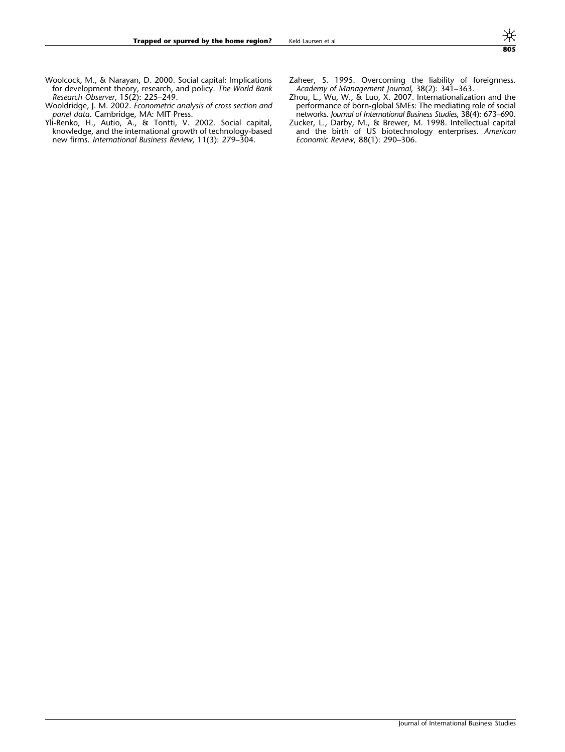- Woolcock, M., & Narayan, D. 2000. Social capital: Implications for development theory, research, and policy. The World Bank Research Observer, 15(2): 225–249.
- Wooldridge, J. M. 2002. Econometric analysis of cross section and panel data. Cambridge, MA: MIT Press.
- Yli-Renko, H., Autio, A., & Tontti, V. 2002. Social capital, knowledge, and the international growth of technology-based new firms. International Business Review, 11(3): 279–304.
- Zaheer, S. 1995. Overcoming the liability of foreignness. Academy of Management Journal, 38(2): 341–363.
- Zhou, L., Wu, W.,  $\&$  Luo, X. 2007. Internationalization and the performance of born-global SMEs: The mediating role of social networks. Journal of International Business Studies, 38(4): 673–690.
- Zucker, L., Darby, M., & Brewer, M. 1998. Intellectual capital and the birth of US biotechnology enterprises. American Economic Review, 88(1): 290–306.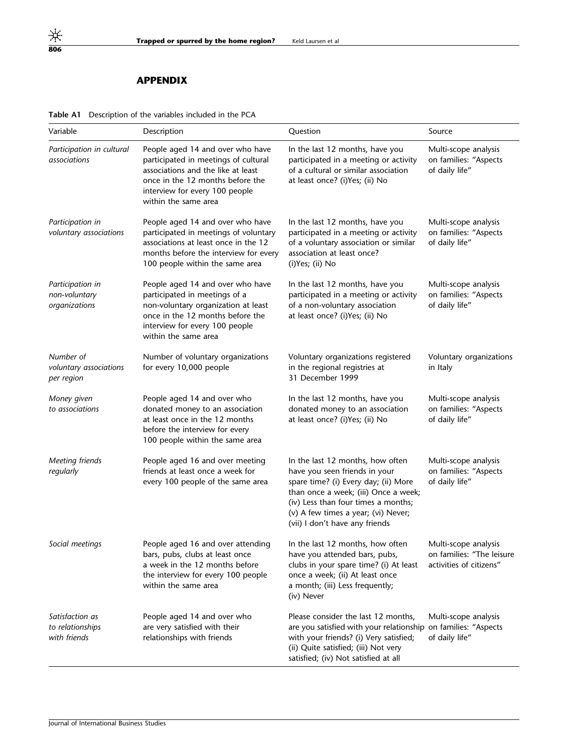# APPENDIX

| Variable                                            | Description                                                                                                                                                                                                  | Question                                                                                                                                                                                                                                                          | Source                                                                       |
|-----------------------------------------------------|--------------------------------------------------------------------------------------------------------------------------------------------------------------------------------------------------------------|-------------------------------------------------------------------------------------------------------------------------------------------------------------------------------------------------------------------------------------------------------------------|------------------------------------------------------------------------------|
| Participation in cultural<br>associations           | People aged 14 and over who have<br>participated in meetings of cultural<br>associations and the like at least<br>once in the 12 months before the<br>interview for every 100 people<br>within the same area | In the last 12 months, have you<br>participated in a meeting or activity<br>of a cultural or similar association<br>at least once? (i)Yes; (ii) No                                                                                                                | Multi-scope analysis<br>on families: "Aspects<br>of daily life"              |
| Participation in<br>voluntary associations          | People aged 14 and over who have<br>participated in meetings of voluntary<br>associations at least once in the 12<br>months before the interview for every<br>100 people within the same area                | In the last 12 months, have you<br>participated in a meeting or activity<br>of a voluntary association or similar<br>association at least once?<br>(i)Yes; (ii) No                                                                                                | Multi-scope analysis<br>on families: "Aspects<br>of daily life"              |
| Participation in<br>non-voluntary<br>organizations  | People aged 14 and over who have<br>participated in meetings of a<br>non-voluntary organization at least<br>once in the 12 months before the<br>interview for every 100 people<br>within the same area       | In the last 12 months, have you<br>participated in a meeting or activity<br>of a non-voluntary association<br>at least once? (i)Yes; (ii) No                                                                                                                      | Multi-scope analysis<br>on families: "Aspects<br>of daily life"              |
| Number of<br>voluntary associations<br>per region   | Number of voluntary organizations<br>for every 10,000 people                                                                                                                                                 | Voluntary organizations registered<br>in the regional registries at<br>31 December 1999                                                                                                                                                                           | Voluntary organizations<br>in Italy                                          |
| Money given<br>to associations                      | People aged 14 and over who<br>donated money to an association<br>at least once in the 12 months<br>before the interview for every<br>100 people within the same area                                        | In the last 12 months, have you<br>donated money to an association<br>at least once? (i)Yes; (ii) No                                                                                                                                                              | Multi-scope analysis<br>on families: "Aspects<br>of daily life"              |
| Meeting friends<br>regularly                        | People aged 16 and over meeting<br>friends at least once a week for<br>every 100 people of the same area                                                                                                     | In the last 12 months, how often<br>have you seen friends in your<br>spare time? (i) Every day; (ii) More<br>than once a week; (iii) Once a week;<br>(iv) Less than four times a months;<br>(v) A few times a year; (vi) Never;<br>(vii) I don't have any friends | Multi-scope analysis<br>on families: "Aspects<br>of daily life"              |
| Social meetings                                     | People aged 16 and over attending<br>bars, pubs, clubs at least once<br>a week in the 12 months before<br>the interview for every 100 people<br>within the same area                                         | In the last 12 months, how often<br>have you attended bars, pubs,<br>clubs in your spare time? (i) At least<br>once a week; (ii) At least once<br>a month; (iii) Less frequently;<br>(iv) Never                                                                   | Multi-scope analysis<br>on families: "The leisure<br>activities of citizens" |
| Satisfaction as<br>to relationships<br>with friends | People aged 14 and over who<br>are very satisfied with their<br>relationships with friends                                                                                                                   | Please consider the last 12 months,<br>are you satisfied with your relationship on families: "Aspects<br>with your friends? (i) Very satisfied;<br>(ii) Quite satisfied; (iii) Not very<br>satisfied; (iv) Not satisfied at all                                   | Multi-scope analysis<br>of daily life"                                       |

# Table A1 Description of the variables included in the PCA